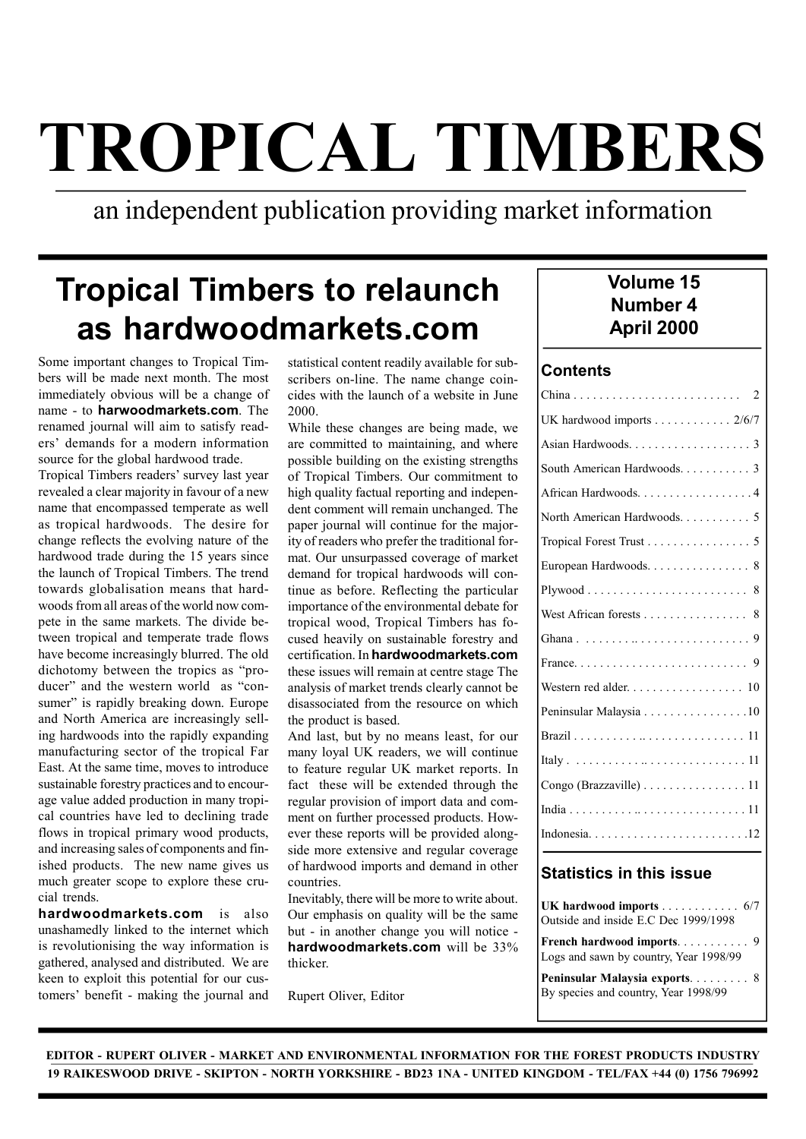# TROPICAL TIMBERS

# an independent publication providing market information

# Tropical Timbers to relaunch as hardwoodmarkets.com

Some important changes to Tropical Timbers will be made next month. The most immediately obvious will be a change of name - to harwoodmarkets.com. The renamed journal will aim to satisfy readers' demands for a modern information source for the global hardwood trade.

Tropical Timbers readers' survey last year revealed a clear majority in favour of a new name that encompassed temperate as well as tropical hardwoods. The desire for change reflects the evolving nature of the hardwood trade during the 15 years since the launch of Tropical Timbers. The trend towards globalisation means that hardwoods from all areas of the world now compete in the same markets. The divide between tropical and temperate trade flows have become increasingly blurred. The old dichotomy between the tropics as "producer" and the western world as "consumer" is rapidly breaking down. Europe and North America are increasingly selling hardwoods into the rapidly expanding manufacturing sector of the tropical Far East. At the same time, moves to introduce sustainable forestry practices and to encourage value added production in many tropical countries have led to declining trade flows in tropical primary wood products, and increasing sales of components and finished products. The new name gives us much greater scope to explore these crucial trends.

hardwoodmarkets.com is also unashamedly linked to the internet which is revolutionising the way information is gathered, analysed and distributed. We are keen to exploit this potential for our customers' benefit - making the journal and

statistical content readily available for subscribers on-line. The name change coincides with the launch of a website in June 2000.

While these changes are being made, we are committed to maintaining, and where possible building on the existing strengths of Tropical Timbers. Our commitment to high quality factual reporting and independent comment will remain unchanged. The paper journal will continue for the majority of readers who prefer the traditional format. Our unsurpassed coverage of market demand for tropical hardwoods will continue as before. Reflecting the particular importance of the environmental debate for tropical wood, Tropical Timbers has focused heavily on sustainable forestry and certification. In hardwoodmarkets.com these issues will remain at centre stage The analysis of market trends clearly cannot be disassociated from the resource on which the product is based.

And last, but by no means least, for our many loyal UK readers, we will continue to feature regular UK market reports. In fact these will be extended through the regular provision of import data and comment on further processed products. However these reports will be provided alongside more extensive and regular coverage of hardwood imports and demand in other countries.

Inevitably, there will be more to write about. Our emphasis on quality will be the same but - in another change you will notice hardwoodmarkets.com will be 33% thicker.

Rupert Oliver, Editor

### Volume 15 Number 4 April 2000

#### **Contents**

| UK hardwood imports $\ldots \ldots \ldots \ldots 2/6/7$ |
|---------------------------------------------------------|
|                                                         |
| South American Hardwoods. 3                             |
| African Hardwoods. 4                                    |
| North American Hardwoods. 5                             |
| Tropical Forest Trust 5                                 |
| European Hardwoods. 8                                   |
| 8                                                       |
| West African forests<br>8                               |
|                                                         |
|                                                         |
| Western red alder. 10                                   |
| Peninsular Malaysia 10                                  |
|                                                         |
|                                                         |
| Congo (Brazzaville) 11                                  |
|                                                         |
|                                                         |

#### Statistics in this issue

UK hardwood imports . . . . . . . . . . . . 6/7 Outside and inside E.C Dec 1999/1998

French hardwood imports. . . . . . . . . . 9 Logs and sawn by country, Year 1998/99

Peninsular Malaysia exports. . . . . . . . . 8 By species and country, Year 1998/99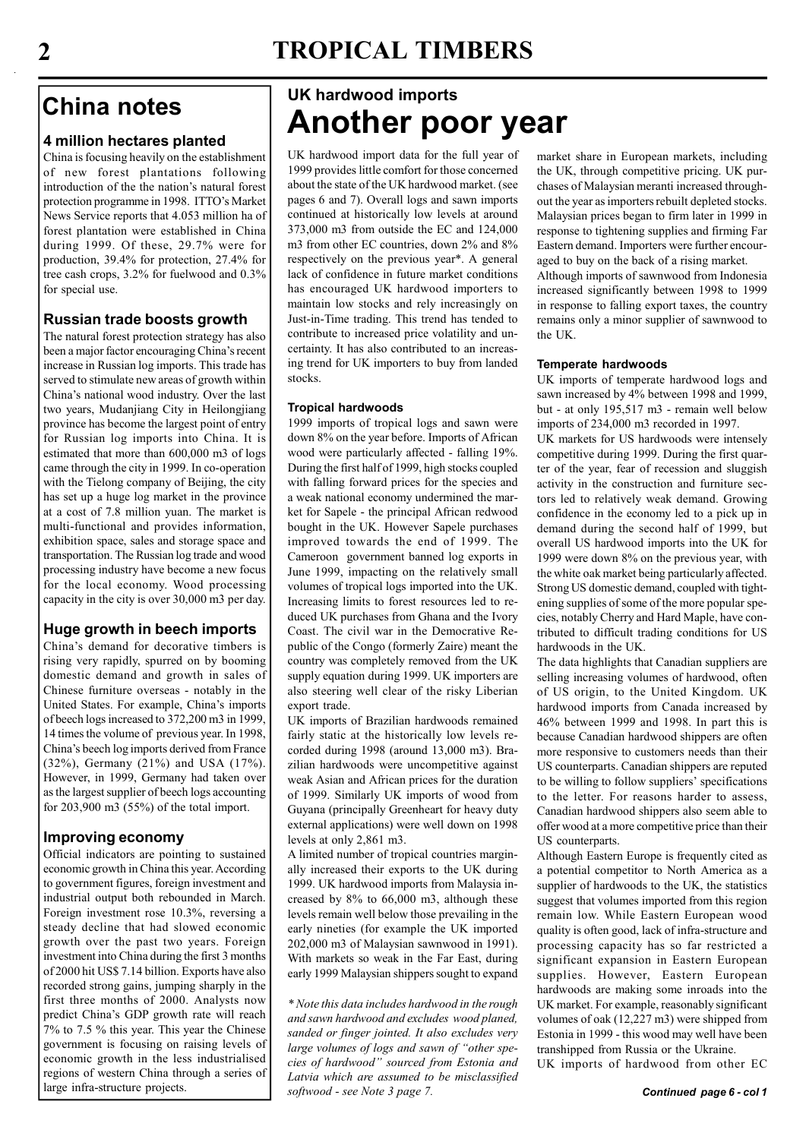# 2 TROPICAL TIMBERS

# China notes

#### 4 million hectares planted

China is focusing heavily on the establishment of new forest plantations following introduction of the the nation's natural forest protection programme in 1998. ITTO's Market News Service reports that 4.053 million ha of forest plantation were established in China during 1999. Of these, 29.7% were for production, 39.4% for protection, 27.4% for tree cash crops, 3.2% for fuelwood and 0.3% for special use.

#### Russian trade boosts growth

The natural forest protection strategy has also been a major factor encouraging China's recent increase in Russian log imports. This trade has served to stimulate new areas of growth within China's national wood industry. Over the last two years, Mudanjiang City in Heilongjiang province has become the largest point of entry for Russian log imports into China. It is estimated that more than 600,000 m3 of logs came through the city in 1999. In co-operation with the Tielong company of Beijing, the city has set up a huge log market in the province at a cost of 7.8 million yuan. The market is multi-functional and provides information, exhibition space, sales and storage space and transportation. The Russian log trade and wood processing industry have become a new focus for the local economy. Wood processing capacity in the city is over 30,000 m3 per day.

#### Huge growth in beech imports

China's demand for decorative timbers is rising very rapidly, spurred on by booming domestic demand and growth in sales of Chinese furniture overseas - notably in the United States. For example, China's imports of beech logs increased to 372,200 m3 in 1999, 14 times the volume of previous year. In 1998, China's beech log imports derived from France (32%), Germany (21%) and USA (17%). However, in 1999, Germany had taken over as the largest supplier of beech logs accounting for 203,900 m3 (55%) of the total import.

#### Improving economy

Official indicators are pointing to sustained economic growth in China this year. According to government figures, foreign investment and industrial output both rebounded in March. Foreign investment rose 10.3%, reversing a steady decline that had slowed economic growth over the past two years. Foreign investment into China during the first 3 months of 2000 hit US\$ 7.14 billion. Exports have also recorded strong gains, jumping sharply in the first three months of 2000. Analysts now predict China's GDP growth rate will reach 7% to 7.5 % this year. This year the Chinese government is focusing on raising levels of economic growth in the less industrialised regions of western China through a series of

# UK hardwood imports Another poor year

UK hardwood import data for the full year of 1999 provides little comfort for those concerned about the state of the UK hardwood market. (see pages 6 and 7). Overall logs and sawn imports continued at historically low levels at around 373,000 m3 from outside the EC and 124,000 m3 from other EC countries, down 2% and 8% respectively on the previous year\*. A general lack of confidence in future market conditions has encouraged UK hardwood importers to maintain low stocks and rely increasingly on Just-in-Time trading. This trend has tended to contribute to increased price volatility and uncertainty. It has also contributed to an increasing trend for UK importers to buy from landed stocks.

#### Tropical hardwoods

1999 imports of tropical logs and sawn were down 8% on the year before. Imports of African wood were particularly affected - falling 19%. During the first half of 1999, high stocks coupled with falling forward prices for the species and a weak national economy undermined the market for Sapele - the principal African redwood bought in the UK. However Sapele purchases improved towards the end of 1999. The Cameroon government banned log exports in June 1999, impacting on the relatively small volumes of tropical logs imported into the UK. Increasing limits to forest resources led to reduced UK purchases from Ghana and the Ivory Coast. The civil war in the Democrative Republic of the Congo (formerly Zaire) meant the country was completely removed from the UK supply equation during 1999. UK importers are also steering well clear of the risky Liberian export trade.

UK imports of Brazilian hardwoods remained fairly static at the historically low levels recorded during 1998 (around 13,000 m3). Brazilian hardwoods were uncompetitive against weak Asian and African prices for the duration of 1999. Similarly UK imports of wood from Guyana (principally Greenheart for heavy duty external applications) were well down on 1998 levels at only 2,861 m3.

A limited number of tropical countries marginally increased their exports to the UK during 1999. UK hardwood imports from Malaysia increased by 8% to 66,000 m3, although these levels remain well below those prevailing in the early nineties (for example the UK imported 202,000 m3 of Malaysian sawnwood in 1991). With markets so weak in the Far East, during early 1999 Malaysian shippers sought to expand

\* Note this data includes hardwood in the rough and sawn hardwood and excludes wood planed, sanded or finger jointed. It also excludes very large volumes of logs and sawn of "other species of hardwood" sourced from Estonia and Latvia which are assumed to be misclassified large infra-structure projects. a subsettion of the softwood - see Note 3 page 7.

market share in European markets, including the UK, through competitive pricing. UK purchases of Malaysian meranti increased throughout the year as importers rebuilt depleted stocks. Malaysian prices began to firm later in 1999 in response to tightening supplies and firming Far Eastern demand. Importers were further encouraged to buy on the back of a rising market. Although imports of sawnwood from Indonesia increased significantly between 1998 to 1999 in response to falling export taxes, the country remains only a minor supplier of sawnwood to

#### Temperate hardwoods

the UK.

UK imports of temperate hardwood logs and sawn increased by 4% between 1998 and 1999, but - at only 195,517 m3 - remain well below imports of 234,000 m3 recorded in 1997.

UK markets for US hardwoods were intensely competitive during 1999. During the first quarter of the year, fear of recession and sluggish activity in the construction and furniture sectors led to relatively weak demand. Growing confidence in the economy led to a pick up in demand during the second half of 1999, but overall US hardwood imports into the UK for 1999 were down 8% on the previous year, with the white oak market being particularly affected. Strong US domestic demand, coupled with tightening supplies of some of the more popular species, notably Cherry and Hard Maple, have contributed to difficult trading conditions for US hardwoods in the UK

The data highlights that Canadian suppliers are selling increasing volumes of hardwood, often of US origin, to the United Kingdom. UK hardwood imports from Canada increased by 46% between 1999 and 1998. In part this is because Canadian hardwood shippers are often more responsive to customers needs than their US counterparts. Canadian shippers are reputed to be willing to follow suppliers' specifications to the letter. For reasons harder to assess, Canadian hardwood shippers also seem able to offer wood at a more competitive price than their US counterparts.

Although Eastern Europe is frequently cited as a potential competitor to North America as a supplier of hardwoods to the UK, the statistics suggest that volumes imported from this region remain low. While Eastern European wood quality is often good, lack of infra-structure and processing capacity has so far restricted a significant expansion in Eastern European supplies. However, Eastern European hardwoods are making some inroads into the UK market. For example, reasonably significant volumes of oak (12,227 m3) were shipped from Estonia in 1999 - this wood may well have been transhipped from Russia or the Ukraine.

UK imports of hardwood from other EC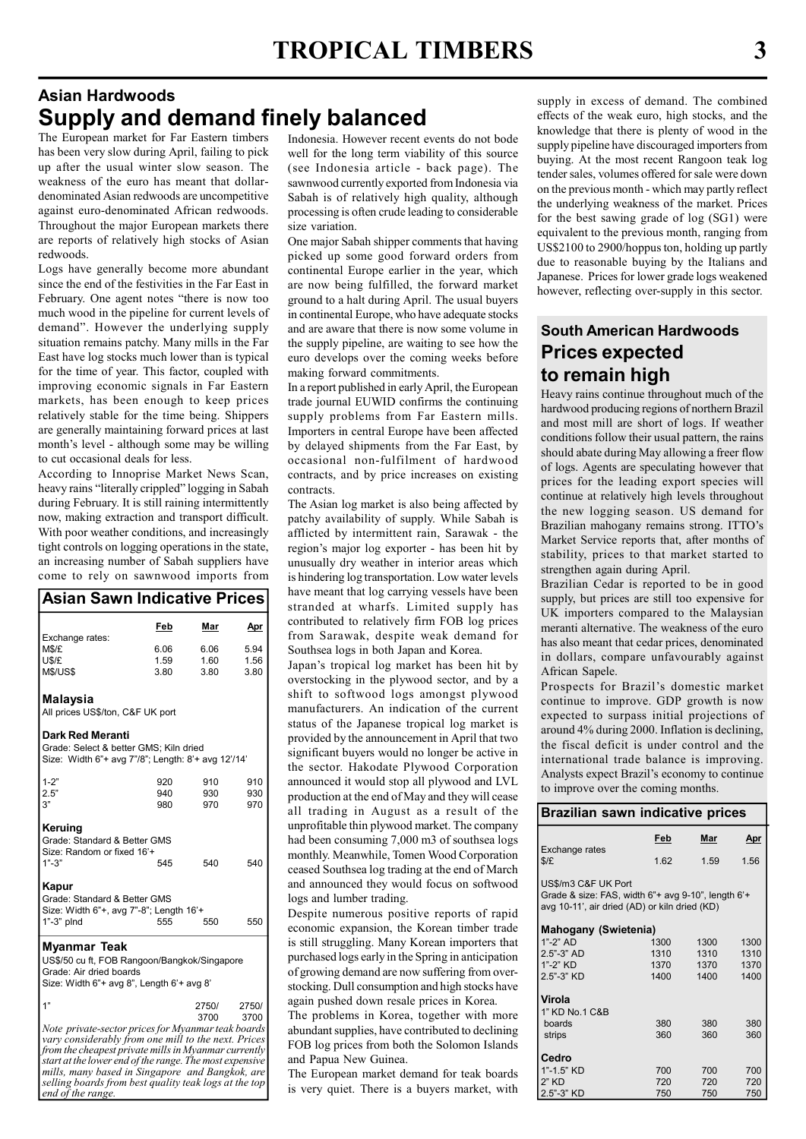# Asian Hardwoods Supply and demand finely balanced

The European market for Far Eastern timbers has been very slow during April, failing to pick up after the usual winter slow season. The weakness of the euro has meant that dollardenominated Asian redwoods are uncompetitive against euro-denominated African redwoods. Throughout the major European markets there are reports of relatively high stocks of Asian redwoods.

Logs have generally become more abundant since the end of the festivities in the Far East in February. One agent notes "there is now too much wood in the pipeline for current levels of demand". However the underlying supply situation remains patchy. Many mills in the Far East have log stocks much lower than is typical for the time of year. This factor, coupled with improving economic signals in Far Eastern markets, has been enough to keep prices relatively stable for the time being. Shippers are generally maintaining forward prices at last month's level - although some may be willing to cut occasional deals for less.

According to Innoprise Market News Scan, heavy rains "literally crippled" logging in Sabah during February. It is still raining intermittently now, making extraction and transport difficult. With poor weather conditions, and increasingly tight controls on logging operations in the state, an increasing number of Sabah suppliers have come to rely on sawnwood imports from

#### Asian Sawn Indicative Prices

| Exchange rates:                                                                                                                                                                                                                                                                                                                                               | Feb        | Mar        | <u>Apr</u> |
|---------------------------------------------------------------------------------------------------------------------------------------------------------------------------------------------------------------------------------------------------------------------------------------------------------------------------------------------------------------|------------|------------|------------|
| M\$/£                                                                                                                                                                                                                                                                                                                                                         | 6.06       | 6.06       | 5.94       |
| U\$/£                                                                                                                                                                                                                                                                                                                                                         | 1.59       | 1.60       | 1.56       |
| <b>M\$/US\$</b>                                                                                                                                                                                                                                                                                                                                               | 3.80       | 3.80       | 3.80       |
| Malaysia<br>All prices US\$/ton, C&F UK port                                                                                                                                                                                                                                                                                                                  |            |            |            |
| Dark Red Meranti<br>Grade: Select & better GMS; Kiln dried<br>Size: Width 6"+ avg 7"/8"; Length: 8'+ avg 12'/14'                                                                                                                                                                                                                                              |            |            |            |
| $1 - 2"$                                                                                                                                                                                                                                                                                                                                                      | 920        | 910        | 910        |
| 2.5"                                                                                                                                                                                                                                                                                                                                                          | 940        | 930        | 930        |
| 3"                                                                                                                                                                                                                                                                                                                                                            | 980        | 970        | 970        |
| Keruing<br>Grade: Standard & Better GMS<br>Size: Random or fixed 16'+<br>$1" - 3"$<br>Kapur<br>Grade: Standard & Better GMS<br>Size: Width 6"+, avg 7"-8"; Length 16'+<br>1"-3" plnd                                                                                                                                                                          | 545<br>555 | 540<br>550 | 540<br>550 |
| Myanmar Teak<br>US\$/50 cu ft, FOB Rangoon/Bangkok/Singapore<br>Grade: Air dried boards<br>Size: Width 6"+ avg 8", Length 6'+ avg 8'                                                                                                                                                                                                                          |            |            |            |
| 1"                                                                                                                                                                                                                                                                                                                                                            |            | 2750/      | 2750/      |
| Note private-sector prices for Myanmar teak boards<br>vary considerably from one mill to the next. Prices<br>from the cheapest private mills in Myanmar currently<br>start at the lower end of the range. The most expensive<br>mills, many based in Singapore and Bangkok, are<br>selling boards from best quality teak logs at the top<br>end of the range. |            | 3700       | 3700       |

Indonesia. However recent events do not bode well for the long term viability of this source (see Indonesia article - back page). The sawnwood currently exported from Indonesia via Sabah is of relatively high quality, although processing is often crude leading to considerable size variation.

One major Sabah shipper comments that having picked up some good forward orders from continental Europe earlier in the year, which are now being fulfilled, the forward market ground to a halt during April. The usual buyers in continental Europe, who have adequate stocks and are aware that there is now some volume in the supply pipeline, are waiting to see how the euro develops over the coming weeks before making forward commitments.

In a report published in early April, the European trade journal EUWID confirms the continuing supply problems from Far Eastern mills. Importers in central Europe have been affected by delayed shipments from the Far East, by occasional non-fulfilment of hardwood contracts, and by price increases on existing contracts.

The Asian log market is also being affected by patchy availability of supply. While Sabah is afflicted by intermittent rain, Sarawak - the region's major log exporter - has been hit by unusually dry weather in interior areas which is hindering log transportation. Low water levels have meant that log carrying vessels have been stranded at wharfs. Limited supply has contributed to relatively firm FOB log prices from Sarawak, despite weak demand for Southsea logs in both Japan and Korea.

Japan's tropical log market has been hit by overstocking in the plywood sector, and by a shift to softwood logs amongst plywood manufacturers. An indication of the current status of the Japanese tropical log market is provided by the announcement in April that two significant buyers would no longer be active in the sector. Hakodate Plywood Corporation announced it would stop all plywood and LVL production at the end of May and they will cease all trading in August as a result of the unprofitable thin plywood market. The company had been consuming 7,000 m3 of southsea logs monthly. Meanwhile, Tomen Wood Corporation ceased Southsea log trading at the end of March and announced they would focus on softwood logs and lumber trading.

Despite numerous positive reports of rapid economic expansion, the Korean timber trade is still struggling. Many Korean importers that purchased logs early in the Spring in anticipation of growing demand are now suffering from overstocking. Dull consumption and high stocks have again pushed down resale prices in Korea.

The problems in Korea, together with more abundant supplies, have contributed to declining FOB log prices from both the Solomon Islands and Papua New Guinea.

The European market demand for teak boards is very quiet. There is a buyers market, with supply in excess of demand. The combined effects of the weak euro, high stocks, and the knowledge that there is plenty of wood in the supply pipeline have discouraged importers from buying. At the most recent Rangoon teak log tender sales, volumes offered for sale were down on the previous month - which may partly reflect the underlying weakness of the market. Prices for the best sawing grade of log (SG1) were equivalent to the previous month, ranging from US\$2100 to 2900/hoppus ton, holding up partly due to reasonable buying by the Italians and Japanese. Prices for lower grade logs weakened however, reflecting over-supply in this sector.

### South American Hardwoods Prices expected to remain high

Heavy rains continue throughout much of the hardwood producing regions of northern Brazil and most mill are short of logs. If weather conditions follow their usual pattern, the rains should abate during May allowing a freer flow of logs. Agents are speculating however that prices for the leading export species will continue at relatively high levels throughout the new logging season. US demand for Brazilian mahogany remains strong. ITTO's Market Service reports that, after months of stability, prices to that market started to strengthen again during April.

Brazilian Cedar is reported to be in good supply, but prices are still too expensive for UK importers compared to the Malaysian meranti alternative. The weakness of the euro has also meant that cedar prices, denominated in dollars, compare unfavourably against African Sapele.

Prospects for Brazil's domestic market continue to improve. GDP growth is now expected to surpass initial projections of around 4% during 2000. Inflation is declining, the fiscal deficit is under control and the international trade balance is improving. Analysts expect Brazil's economy to continue to improve over the coming months.

#### Brazilian sawn indicative prices

|                                                                                                                            | Feb  | Mar  | Apr  |
|----------------------------------------------------------------------------------------------------------------------------|------|------|------|
| Exchange rates<br>$\frac{f}{2}$                                                                                            | 1.62 | 1.59 | 1.56 |
| US\$/m3 C&F UK Port<br>Grade & size: FAS, width 6"+ avg 9-10", length 6'+<br>avg 10-11', air dried (AD) or kiln dried (KD) |      |      |      |
| Mahogany (Swietenia)                                                                                                       |      |      |      |
| $1" - 2"$ AD                                                                                                               | 1300 | 1300 | 1300 |
| $2.5" - 3"$ AD                                                                                                             | 1310 | 1310 | 1310 |
| $1" - 2"$ KD                                                                                                               | 1370 | 1370 | 1370 |
| 2.5"-3" KD                                                                                                                 | 1400 | 1400 | 1400 |
| Virola                                                                                                                     |      |      |      |
| 1" KD No.1 C&B                                                                                                             |      |      |      |
| boards                                                                                                                     | 380  | 380  | 380  |
| strips                                                                                                                     | 360  | 360  | 360  |
| Cedro                                                                                                                      |      |      |      |
| $1" - 1.5"$ KD                                                                                                             | 700  | 700  | 700  |
| $2"$ KD                                                                                                                    | 720  | 720  | 720  |
| 2.5"-3" KD                                                                                                                 | 750  | 750  | 750  |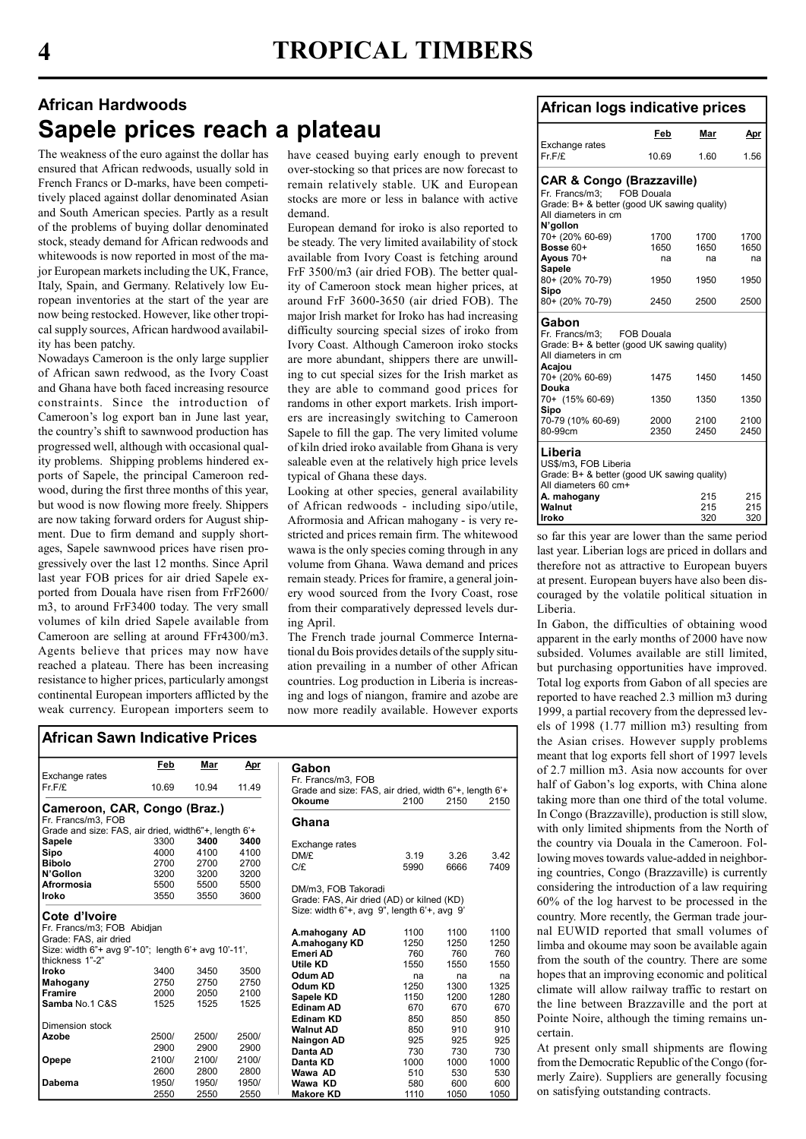# African Hardwoods Sapele prices reach a plateau

The weakness of the euro against the dollar has ensured that African redwoods, usually sold in French Francs or D-marks, have been competitively placed against dollar denominated Asian and South American species. Partly as a result of the problems of buying dollar denominated stock, steady demand for African redwoods and whitewoods is now reported in most of the major European markets including the UK, France, Italy, Spain, and Germany. Relatively low European inventories at the start of the year are now being restocked. However, like other tropical supply sources, African hardwood availability has been patchy.

Nowadays Cameroon is the only large supplier of African sawn redwood, as the Ivory Coast and Ghana have both faced increasing resource constraints. Since the introduction of Cameroon's log export ban in June last year, the country's shift to sawnwood production has progressed well, although with occasional quality problems. Shipping problems hindered exports of Sapele, the principal Cameroon redwood, during the first three months of this year, but wood is now flowing more freely. Shippers are now taking forward orders for August shipment. Due to firm demand and supply shortages, Sapele sawnwood prices have risen progressively over the last 12 months. Since April last year FOB prices for air dried Sapele exported from Douala have risen from FrF2600/ m3, to around FrF3400 today. The very small volumes of kiln dried Sapele available from Cameroon are selling at around FFr4300/m3. Agents believe that prices may now have reached a plateau. There has been increasing resistance to higher prices, particularly amongst continental European importers afflicted by the weak currency. European importers seem to

have ceased buying early enough to prevent over-stocking so that prices are now forecast to remain relatively stable. UK and European stocks are more or less in balance with active demand.

European demand for iroko is also reported to be steady. The very limited availability of stock available from Ivory Coast is fetching around FrF 3500/m3 (air dried FOB). The better quality of Cameroon stock mean higher prices, at around FrF 3600-3650 (air dried FOB). The major Irish market for Iroko has had increasing difficulty sourcing special sizes of iroko from Ivory Coast. Although Cameroon iroko stocks are more abundant, shippers there are unwilling to cut special sizes for the Irish market as they are able to command good prices for randoms in other export markets. Irish importers are increasingly switching to Cameroon Sapele to fill the gap. The very limited volume of kiln dried iroko available from Ghana is very saleable even at the relatively high price levels typical of Ghana these days.

Looking at other species, general availability of African redwoods - including sipo/utile, Afrormosia and African mahogany - is very restricted and prices remain firm. The whitewood wawa is the only species coming through in any volume from Ghana. Wawa demand and prices remain steady. Prices for framire, a general joinery wood sourced from the Ivory Coast, rose from their comparatively depressed levels during April.

The French trade journal Commerce International du Bois provides details of the supply situation prevailing in a number of other African countries. Log production in Liberia is increasing and logs of niangon, framire and azobe are now more readily available. However exports

Makore KD 1110 1050 1050

|                                                      | Feb   | Mar   | <u>Apr</u> | Gabon                                                  |      |      |      |
|------------------------------------------------------|-------|-------|------------|--------------------------------------------------------|------|------|------|
| Exchange rates                                       |       |       |            | Fr. Francs/m3. FOB                                     |      |      |      |
| Fr.F/E                                               | 10.69 | 10.94 | 11.49      | Grade and size: FAS, air dried, width 6"+, length 6'+  |      |      |      |
|                                                      |       |       |            | Okoume                                                 | 2100 | 2150 | 2150 |
| Cameroon, CAR, Congo (Braz.)                         |       |       |            |                                                        |      |      |      |
| Fr. Francs/m3. FOB                                   |       |       |            | Ghana                                                  |      |      |      |
| Grade and size: FAS, air dried, width6"+, length 6'+ |       |       |            |                                                        |      |      |      |
| Sapele                                               | 3300  | 3400  | 3400       | Exchange rates                                         |      |      |      |
| Sipo                                                 | 4000  | 4100  | 4100       | DM/£                                                   | 3.19 | 3.26 | 3.42 |
| <b>Bibolo</b>                                        | 2700  | 2700  | 2700       | C/f                                                    | 5990 | 6666 | 7409 |
| N'Gollon                                             | 3200  | 3200  | 3200       |                                                        |      |      |      |
| Afrormosia                                           | 5500  | 5500  | 5500       | DM/m3, FOB Takoradi                                    |      |      |      |
| Iroko                                                | 3550  | 3550  | 3600       | Grade: FAS, Air dried (AD) or kilned (KD)              |      |      |      |
|                                                      |       |       |            | Size: width $6"$ +, avg $9"$ , length $6'$ +, avg $9"$ |      |      |      |
| Cote d'Ivoire                                        |       |       |            |                                                        |      |      |      |
| Fr. Francs/m3; FOB Abidjan                           |       |       |            | A.mahogany AD                                          | 1100 | 1100 | 1100 |
| Grade: FAS, air dried                                |       |       |            | A.mahogany KD                                          | 1250 | 1250 | 1250 |
| Size: width 6"+ avg 9"-10"; length 6'+ avg 10'-11',  |       |       |            | Emeri AD                                               | 760  | 760  | 760  |
| thickness 1"-2"                                      |       |       |            | Utile KD                                               | 1550 | 1550 | 1550 |
| Iroko                                                | 3400  | 3450  | 3500       | Odum AD                                                | na   | na   | na   |
| Mahogany                                             | 2750  | 2750  | 2750       | Odum KD                                                | 1250 | 1300 | 1325 |
| <b>Framire</b>                                       | 2000  | 2050  | 2100       | Sapele KD                                              | 1150 | 1200 | 1280 |
| Samba No.1 C&S                                       | 1525  | 1525  | 1525       | <b>Edinam AD</b>                                       | 670  | 670  | 670  |
|                                                      |       |       |            | <b>Edinam KD</b>                                       | 850  | 850  | 850  |
| Dimension stock                                      |       |       |            | <b>Walnut AD</b>                                       | 850  | 910  | 910  |
| Azobe                                                | 2500/ | 2500/ | 2500/      | <b>Naingon AD</b>                                      | 925  | 925  | 925  |
|                                                      | 2900  | 2900  | 2900       | Danta AD                                               | 730  | 730  | 730  |
| Opepe                                                | 2100/ | 2100/ | 2100/      | Danta KD                                               | 1000 | 1000 | 1000 |
|                                                      | 2600  | 2800  | 2800       | Wawa AD                                                | 510  | 530  | 530  |
| Dabema                                               | 1950/ | 1950/ | 1950/      | Wawa KD                                                | 580  | 600  | 600  |

2550 2550 2550

### African logs indicative prices

| νιτιναιττυγιο πινινατινο μιτυσο             |                   |      |              |  |  |  |  |  |  |  |
|---------------------------------------------|-------------------|------|--------------|--|--|--|--|--|--|--|
|                                             | Feb               | Mar  | Apr          |  |  |  |  |  |  |  |
| Exchange rates<br>$Fr$ $F$ / $F$            | 10.69             | 1.60 | 1.56         |  |  |  |  |  |  |  |
| <b>CAR &amp; Congo (Brazzaville)</b>        |                   |      |              |  |  |  |  |  |  |  |
| Fr. Francs/m3:                              | <b>FOB Douala</b> |      |              |  |  |  |  |  |  |  |
| Grade: B+ & better (good UK sawing quality) |                   |      |              |  |  |  |  |  |  |  |
| All diameters in cm                         |                   |      |              |  |  |  |  |  |  |  |
| N'gollon                                    |                   |      |              |  |  |  |  |  |  |  |
| 70+ (20% 60-69)                             | 1700              | 1700 | 1700         |  |  |  |  |  |  |  |
| Bosse 60+                                   | 1650              | 1650 | 1650         |  |  |  |  |  |  |  |
| Avous 70+                                   | na                | na   | na           |  |  |  |  |  |  |  |
| <b>Sapele</b>                               |                   |      |              |  |  |  |  |  |  |  |
| 80+ (20% 70-79)                             | 1950              | 1950 | 1950         |  |  |  |  |  |  |  |
| Sipo                                        |                   |      | 2500         |  |  |  |  |  |  |  |
| 80+ (20% 70-79)                             | 2450              | 2500 |              |  |  |  |  |  |  |  |
| Gabon                                       |                   |      |              |  |  |  |  |  |  |  |
| Fr. Francs/m3:                              | <b>FOB Douala</b> |      |              |  |  |  |  |  |  |  |
| Grade: B+ & better (good UK sawing quality) |                   |      |              |  |  |  |  |  |  |  |
| All diameters in cm                         |                   |      |              |  |  |  |  |  |  |  |
| Acajou                                      |                   |      |              |  |  |  |  |  |  |  |
| 70+ (20% 60-69)                             | 1475              | 1450 | 1450         |  |  |  |  |  |  |  |
| Douka                                       |                   |      |              |  |  |  |  |  |  |  |
| 70+ (15% 60-69)                             | 1350              | 1350 | 1350         |  |  |  |  |  |  |  |
| Sipo                                        |                   |      |              |  |  |  |  |  |  |  |
| 70-79 (10% 60-69)<br>80-99cm                | 2000<br>2350      | 2100 | 2100<br>2450 |  |  |  |  |  |  |  |
|                                             |                   | 2450 |              |  |  |  |  |  |  |  |
| Liberia                                     |                   |      |              |  |  |  |  |  |  |  |
| US\$/m3, FOB Liberia                        |                   |      |              |  |  |  |  |  |  |  |
| Grade: B+ & better (good UK sawing quality) |                   |      |              |  |  |  |  |  |  |  |
| All diameters 60 cm+                        |                   |      |              |  |  |  |  |  |  |  |
| A. mahogany                                 |                   | 215  | 215          |  |  |  |  |  |  |  |
| Walnut                                      |                   | 215  | 215          |  |  |  |  |  |  |  |
| Iroko                                       |                   | 320  | 320          |  |  |  |  |  |  |  |

so far this year are lower than the same period last year. Liberian logs are priced in dollars and therefore not as attractive to European buyers at present. European buyers have also been discouraged by the volatile political situation in Liberia.

In Gabon, the difficulties of obtaining wood apparent in the early months of 2000 have now subsided. Volumes available are still limited, but purchasing opportunities have improved. Total log exports from Gabon of all species are reported to have reached 2.3 million m3 during 1999, a partial recovery from the depressed levels of 1998 (1.77 million m3) resulting from the Asian crises. However supply problems meant that log exports fell short of 1997 levels of 2.7 million m3. Asia now accounts for over half of Gabon's log exports, with China alone taking more than one third of the total volume. In Congo (Brazzaville), production is still slow, with only limited shipments from the North of the country via Douala in the Cameroon. Following moves towards value-added in neighboring countries, Congo (Brazzaville) is currently considering the introduction of a law requiring 60% of the log harvest to be processed in the country. More recently, the German trade journal EUWID reported that small volumes of limba and okoume may soon be available again from the south of the country. There are some hopes that an improving economic and political climate will allow railway traffic to restart on the line between Brazzaville and the port at Pointe Noire, although the timing remains uncertain.

At present only small shipments are flowing from the Democratic Republic of the Congo (formerly Zaire). Suppliers are generally focusing on satisfying outstanding contracts.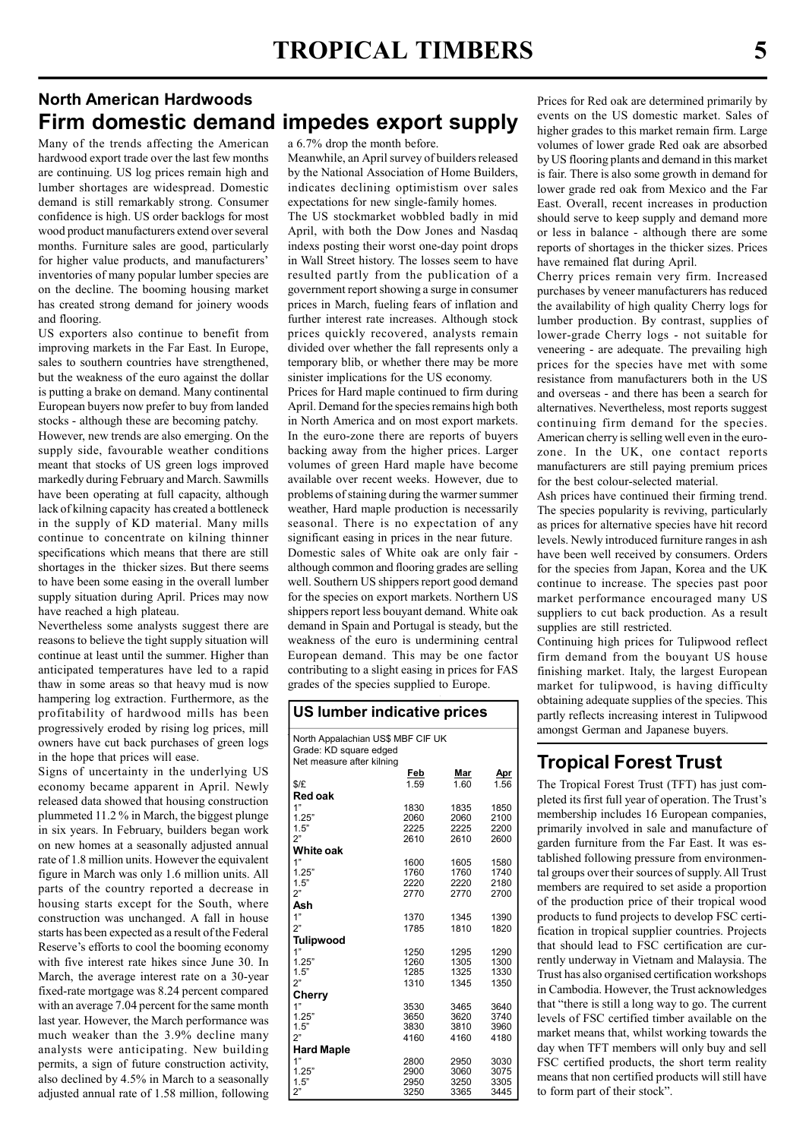### North American Hardwoods Firm domestic demand impedes export supply

Many of the trends affecting the American hardwood export trade over the last few months are continuing. US log prices remain high and lumber shortages are widespread. Domestic demand is still remarkably strong. Consumer confidence is high. US order backlogs for most wood product manufacturers extend over several months. Furniture sales are good, particularly for higher value products, and manufacturers' inventories of many popular lumber species are on the decline. The booming housing market has created strong demand for joinery woods and flooring.

US exporters also continue to benefit from improving markets in the Far East. In Europe, sales to southern countries have strengthened, but the weakness of the euro against the dollar is putting a brake on demand. Many continental European buyers now prefer to buy from landed stocks - although these are becoming patchy.

However, new trends are also emerging. On the supply side, favourable weather conditions meant that stocks of US green logs improved markedly during February and March. Sawmills have been operating at full capacity, although lack of kilning capacity has created a bottleneck in the supply of KD material. Many mills continue to concentrate on kilning thinner specifications which means that there are still shortages in the thicker sizes. But there seems to have been some easing in the overall lumber supply situation during April. Prices may now have reached a high plateau.

Nevertheless some analysts suggest there are reasons to believe the tight supply situation will continue at least until the summer. Higher than anticipated temperatures have led to a rapid thaw in some areas so that heavy mud is now hampering log extraction. Furthermore, as the profitability of hardwood mills has been progressively eroded by rising log prices, mill owners have cut back purchases of green logs in the hope that prices will ease.

Signs of uncertainty in the underlying US economy became apparent in April. Newly released data showed that housing construction plummeted 11.2 % in March, the biggest plunge in six years. In February, builders began work on new homes at a seasonally adjusted annual rate of 1.8 million units. However the equivalent figure in March was only 1.6 million units. All parts of the country reported a decrease in housing starts except for the South, where construction was unchanged. A fall in house starts has been expected as a result of the Federal Reserve's efforts to cool the booming economy with five interest rate hikes since June 30. In March, the average interest rate on a 30-year fixed-rate mortgage was 8.24 percent compared with an average 7.04 percent for the same month last year. However, the March performance was much weaker than the 3.9% decline many analysts were anticipating. New building permits, a sign of future construction activity, also declined by 4.5% in March to a seasonally adjusted annual rate of 1.58 million, following

a 6.7% drop the month before.

Meanwhile, an April survey of builders released by the National Association of Home Builders, indicates declining optimistism over sales expectations for new single-family homes.

The US stockmarket wobbled badly in mid April, with both the Dow Jones and Nasdaq indexs posting their worst one-day point drops in Wall Street history. The losses seem to have resulted partly from the publication of a government report showing a surge in consumer prices in March, fueling fears of inflation and further interest rate increases. Although stock prices quickly recovered, analysts remain divided over whether the fall represents only a temporary blib, or whether there may be more sinister implications for the US economy.

Prices for Hard maple continued to firm during April. Demand for the species remains high both in North America and on most export markets. In the euro-zone there are reports of buyers backing away from the higher prices. Larger volumes of green Hard maple have become available over recent weeks. However, due to problems of staining during the warmer summer weather, Hard maple production is necessarily seasonal. There is no expectation of any significant easing in prices in the near future. Domestic sales of White oak are only fair although common and flooring grades are selling well. Southern US shippers report good demand for the species on export markets. Northern US shippers report less bouyant demand. White oak demand in Spain and Portugal is steady, but the weakness of the euro is undermining central European demand. This may be one factor contributing to a slight easing in prices for FAS grades of the species supplied to Europe.

#### US lumber indicative prices

| North Appalachian US\$ MBF CIF UK<br>Grade: KD square edged |              |              |              |
|-------------------------------------------------------------|--------------|--------------|--------------|
| Net measure after kilning                                   |              |              |              |
|                                                             | Feb          | Mar          | Apr          |
| \$/E                                                        | 1.59         | 1.60         | 1.56         |
| Red oak                                                     |              |              |              |
| 1"                                                          | 1830         | 1835         | 1850         |
| 1.25"                                                       | 2060         | 2060         | 2100         |
| 1.5"                                                        | 2225         | 2225         | 2200         |
| 2"                                                          | 2610         | 2610         | 2600         |
| White oak                                                   |              |              |              |
| 1"                                                          | 1600         | 1605         | 1580         |
| 1.25"                                                       | 1760         | 1760         | 1740         |
| 1.5"                                                        | 2220         | 2220         | 2180         |
| 2"                                                          | 2770         | 2770         | 2700         |
| Ash                                                         |              |              |              |
| 1"                                                          | 1370         | 1345         | 1390         |
| 2"                                                          | 1785         | 1810         | 1820         |
| Tulipwood                                                   |              |              |              |
| 1"                                                          | 1250         | 1295         | 1290         |
| 1.25"                                                       | 1260         | 1305         | 1300         |
| 1.5"                                                        | 1285         | 1325         | 1330         |
| ን"                                                          | 1310         | 1345         | 1350         |
| Cherry                                                      |              |              |              |
| 1"                                                          | 3530         | 3465         | 3640         |
| 1.25"<br>1.5"                                               | 3650<br>3830 | 3620<br>3810 | 3740<br>3960 |
| 2"                                                          | 4160         | 4160         | 4180         |
| <b>Hard Maple</b>                                           |              |              |              |
| 1"                                                          | 2800         | 2950         | 3030         |
| 1.25"                                                       | 2900         | 3060         | 3075         |
| 1.5"                                                        | 2950         | 3250         | 3305         |
| 2"                                                          | 3250         | 3365         | 3445         |
|                                                             |              |              |              |

Prices for Red oak are determined primarily by events on the US domestic market. Sales of higher grades to this market remain firm. Large volumes of lower grade Red oak are absorbed by US flooring plants and demand in this market is fair. There is also some growth in demand for lower grade red oak from Mexico and the Far East. Overall, recent increases in production should serve to keep supply and demand more or less in balance - although there are some reports of shortages in the thicker sizes. Prices have remained flat during April.

Cherry prices remain very firm. Increased purchases by veneer manufacturers has reduced the availability of high quality Cherry logs for lumber production. By contrast, supplies of lower-grade Cherry logs - not suitable for veneering - are adequate. The prevailing high prices for the species have met with some resistance from manufacturers both in the US and overseas - and there has been a search for alternatives. Nevertheless, most reports suggest continuing firm demand for the species. American cherry is selling well even in the eurozone. In the UK, one contact reports manufacturers are still paying premium prices for the best colour-selected material.

Ash prices have continued their firming trend. The species popularity is reviving, particularly as prices for alternative species have hit record levels. Newly introduced furniture ranges in ash have been well received by consumers. Orders for the species from Japan, Korea and the UK continue to increase. The species past poor market performance encouraged many US suppliers to cut back production. As a result supplies are still restricted.

Continuing high prices for Tulipwood reflect firm demand from the bouyant US house finishing market. Italy, the largest European market for tulipwood, is having difficulty obtaining adequate supplies of the species. This partly reflects increasing interest in Tulipwood amongst German and Japanese buyers.

### Tropical Forest Trust

The Tropical Forest Trust (TFT) has just completed its first full year of operation. The Trust's membership includes 16 European companies, primarily involved in sale and manufacture of garden furniture from the Far East. It was established following pressure from environmental groups over their sources of supply. All Trust members are required to set aside a proportion of the production price of their tropical wood products to fund projects to develop FSC certification in tropical supplier countries. Projects that should lead to FSC certification are currently underway in Vietnam and Malaysia. The Trust has also organised certification workshops in Cambodia. However, the Trust acknowledges that "there is still a long way to go. The current levels of FSC certified timber available on the market means that, whilst working towards the day when TFT members will only buy and sell FSC certified products, the short term reality means that non certified products will still have to form part of their stock".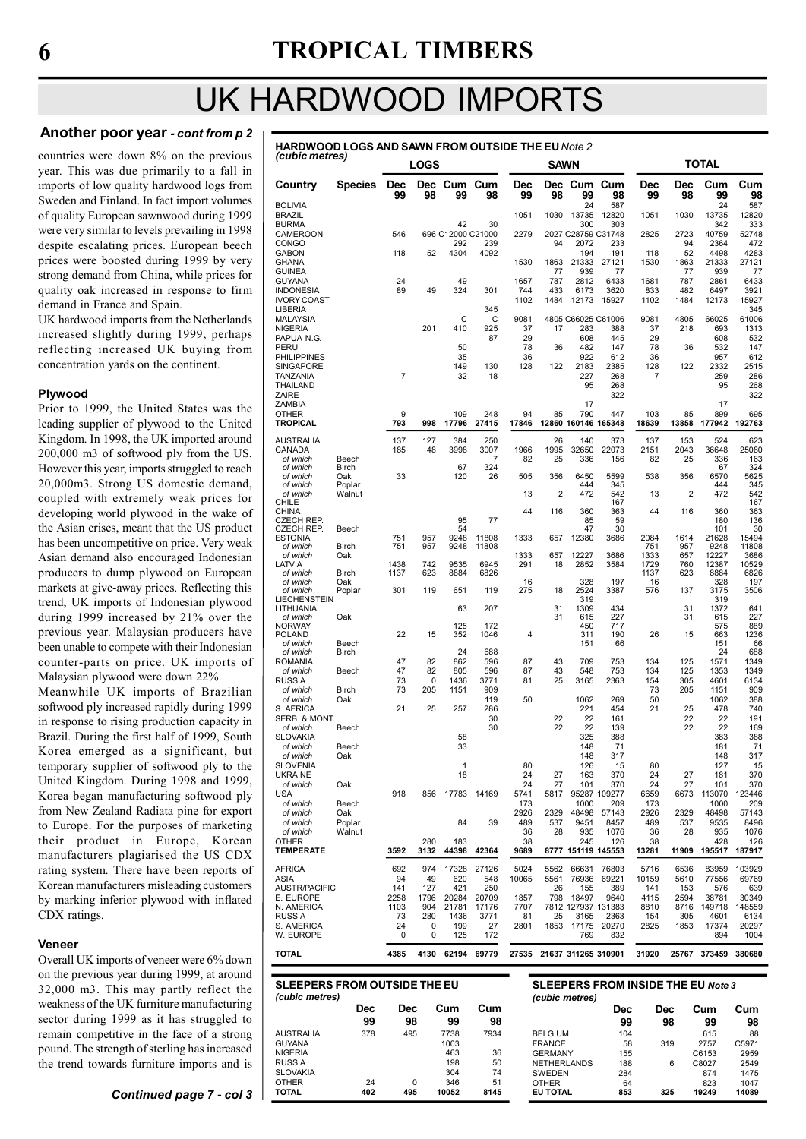# UK HARDWOOD IMPORTS

AUSTRALIA 378 495 7738 7934

NIGERIA 463 36 RUSSIA 198 50<br>
RUSSIA 198 50<br>
SLOVAKIA 24 0 346 51<br>
OTHER 24 0 346 51 SLOVAKIA 304<br>OTHER 24 0 346 OTHER 24 0 346 51 TOTAL 402 495 10052 8145

GUYANA

#### Another poor year - cont from p 2

countries were down 8% on the previous year. This was due primarily to a fall in imports of low quality hardwood logs from Sweden and Finland. In fact import volumes of quality European sawnwood during 1999 were very similar to levels prevailing in 1998 despite escalating prices. European beech prices were boosted during 1999 by very strong demand from China, while prices for quality oak increased in response to firm demand in France and Spain.

UK hardwood imports from the Netherlands increased slightly during 1999, perhaps reflecting increased UK buying from concentration yards on the continent.

#### Plywood

Prior to 1999, the United States was the leading supplier of plywood to the United Kingdom. In 1998, the UK imported around 200,000 m3 of softwood ply from the US. However this year, imports struggled to reach 20,000m3. Strong US domestic demand, coupled with extremely weak prices for developing world plywood in the wake of the Asian crises, meant that the US product has been uncompetitive on price. Very weak Asian demand also encouraged Indonesian producers to dump plywood on European markets at give-away prices. Reflecting this trend, UK imports of Indonesian plywood during 1999 increased by 21% over the previous year. Malaysian producers have been unable to compete with their Indonesian counter-parts on price. UK imports of Malaysian plywood were down 22%.

Meanwhile UK imports of Brazilian softwood ply increased rapidly during 1999 in response to rising production capacity in Brazil. During the first half of 1999, South Korea emerged as a significant, but temporary supplier of softwood ply to the United Kingdom. During 1998 and 1999, Korea began manufacturing softwood ply from New Zealand Radiata pine for export to Europe. For the purposes of marketing their product in Europe, Korean manufacturers plagiarised the US CDX rating system. There have been reports of Korean manufacturers misleading customers by marking inferior plywood with inflated CDX ratings.

#### **Veneer**

Overall UK imports of veneer were 6% down on the previous year during 1999, at around 32,000 m3. This may partly reflect the weakness of the UK furniture manufacturing sector during 1999 as it has struggled to remain competitive in the face of a strong pound. The strength of sterling has increased the trend towards furniture imports and is

| <b>HARDWOOD LOGS AND SAWN FROM OUTSIDE THE EU Note 2</b><br>(cubic metres) |  |
|----------------------------------------------------------------------------|--|
|                                                                            |  |

| 15335 - 1116                                                                     |                |                  | <b>LOGS</b> |                   |               |                | <b>SAWN</b>    |                            |                     |                  |                | TOTAL          |                 |
|----------------------------------------------------------------------------------|----------------|------------------|-------------|-------------------|---------------|----------------|----------------|----------------------------|---------------------|------------------|----------------|----------------|-----------------|
| Country                                                                          | <b>Species</b> | <b>Dec</b><br>99 | Dec<br>98   | Cum<br>99         | Cum<br>98     | Dec<br>99      | 98             | Dec Cum Cum<br>99          | 98                  | <b>Dec</b><br>99 | Dec<br>98      | Cum<br>99      | Cum<br>98       |
| BOLIVIA                                                                          |                |                  |             |                   |               | 1051           |                | 24                         | 587                 |                  |                | 24             | 587             |
| BRAZIL<br>BURMA                                                                  |                |                  |             | 42                | 30            |                | 1030           | 13735<br>300               | 12820<br>303        | 1051             | 1030           | 13735<br>342   | 12820<br>333    |
| CAMEROON                                                                         |                | 546              |             | 696 C12000 C21000 |               | 2279           |                | 2027 C28759 C31748         |                     | 2825             | 2723           | 40759          | 52748           |
| CONGO<br>GABON                                                                   |                | 118              | 52          | 292<br>4304       | 239<br>4092   |                | 94             | 2072<br>194                | 233<br>191          |                  | 94<br>52       | 2364<br>4498   | 472<br>4283     |
| GHANA                                                                            |                |                  |             |                   |               | 1530           | 1863           | 21333                      | 27121               | 118<br>1530      | 1863           | 21333          | 27121           |
| GUINEA                                                                           |                |                  |             |                   |               |                | 77             | 939                        | 77                  |                  | 77             | 939            | 77              |
| GUYANA<br>INDONESIA                                                              |                | 24<br>89         | 49          | 49<br>324         | 301           | 1657<br>744    | 787<br>433     | 2812<br>6173               | 6433<br>3620        | 1681<br>833      | 787<br>482     | 2861<br>6497   | 6433<br>3921    |
| <b>IVORY COAST</b>                                                               |                |                  |             |                   |               | 1102           | 1484           | 12173                      | 15927               | 1102             | 1484           | 12173          | 15927           |
| LIBERIA                                                                          |                |                  |             |                   | 345           |                |                |                            |                     |                  |                |                | 345             |
| MALAYSIA<br>NIGERIA                                                              |                |                  | 201         | C<br>410          | C<br>925      | 9081<br>37     | 17             | 4805 C66025 C61006<br>283  | 388                 | 9081<br>37       | 4805<br>218    | 66025<br>693   | 61006<br>1313   |
| PAPUA N.G.                                                                       |                |                  |             |                   | 87            | 29             |                | 608                        | 445                 | 29               |                | 608            | 532             |
| PERU                                                                             |                |                  |             | 50                |               | 78             | 36             | 482                        | 147                 | 78               | 36             | 532            | 147             |
| PHILIPPINES<br>SINGAPORE                                                         |                |                  |             | 35<br>149         | 130           | 36<br>128      | 122            | 922<br>2183                | 612<br>2385         | 36<br>128        | 122            | 957<br>2332    | 612<br>2515     |
| TANZANIA                                                                         |                | $\overline{7}$   |             | 32                | 18            |                |                | 227                        | 268                 | 7                |                | 259            | 286             |
| THAILAND                                                                         |                |                  |             |                   |               |                |                | 95                         | 268                 |                  |                | 95             | 268             |
| ZAIRE<br>ZAMBIA                                                                  |                |                  |             |                   |               |                |                | 17                         | 322                 |                  |                | 17             | 322             |
| OTHER                                                                            |                | 9                |             | 109               | 248           | 94             | 85             | 790                        | 447                 | 103              | 85             | 899            | 695             |
| TROPICAL                                                                         |                | 793              | 998         | 17796             | 27415         | 17846          | 12860          | 160146 165348              |                     | 18639            | 13858          | 177942         | 192763          |
| AUSTRALIA<br>CANADA                                                              |                | 137<br>185       | 127<br>48   | 384<br>3998       | 250<br>3007   | 1966           | 26<br>1995     | 140<br>32650               | 373<br>22073        | 137<br>2151      | 153<br>2043    | 524<br>36648   | 623<br>25080    |
| of which                                                                         | Beech          |                  |             |                   | 7             | 82             | 25             | 336                        | 156                 | 82               | 25             | 336            | 163             |
| of which<br>of which                                                             | Birch<br>Oak   | 33               |             | 67<br>120         | 324<br>26     | 505            | 356            | 6450                       | 5599                | 538              | 356            | 67<br>6570     | 324<br>5625     |
| of which                                                                         | Poplar         |                  |             |                   |               |                |                | 444                        | 345                 |                  |                | 444            | 345             |
| of which                                                                         | Walnut         |                  |             |                   |               | 13             | $\overline{2}$ | 472                        | 542                 | 13               | $\overline{2}$ | 472            | 542             |
| CHILE<br>CHINA                                                                   |                |                  |             |                   |               | 44             | 116            | 360                        | 167<br>363          | 44               | 116            | 360            | 167<br>363      |
| CZECH REP.                                                                       |                |                  |             | 95                | 77            |                |                | 85                         | 59                  |                  |                | 180            | 136             |
| CZECH REP.<br>ESTONIA                                                            | Beech          | 751              | 957         | 54<br>9248        | 11808         | 1333           | 657            | 47<br>12380                | 30<br>3686          | 2084             | 1614           | 101<br>21628   | 30<br>15494     |
| of which                                                                         | <b>Birch</b>   | 751              | 957         | 9248              | 11808         |                |                |                            |                     | 751              | 957            | 9248           | 11808           |
| of which                                                                         | Oak            | 1438             |             |                   | 6945          | 1333<br>291    | 657            | 12227<br>2852              | 3686                | 1333             | 657            | 12227          | 3686            |
| LATVIA<br>of which                                                               | Birch          | 1137             | 742<br>623  | 9535<br>8884      | 6826          |                | 18             |                            | 3584                | 1729<br>1137     | 760<br>623     | 12387<br>8884  | 10529<br>6826   |
| of which                                                                         | Oak            |                  |             |                   |               | 16             |                | 328                        | 197                 | 16               |                | 328            | 197             |
| of which<br>LIECHENSTEIN                                                         | Poplar         | 301              | 119         | 651               | 119           | 275            | 18             | 2524<br>319                | 3387                | 576              | 137            | 3175<br>319    | 3506            |
| LITHUANIA                                                                        |                |                  |             | 63                | 207           |                | 31             | 1309                       | 434                 |                  | 31             | 1372           | 641             |
| of which<br>NORWAY                                                               | Oak            |                  |             | 125               | 172           |                | 31             | 615<br>450                 | 227<br>717          |                  | 31             | 615<br>575     | 227<br>889      |
| POLAND                                                                           |                | 22               | 15          | 352               | 1046          | $\overline{4}$ |                | 311                        | 190                 | 26               | 15             | 663            | 1236            |
| of which<br>of which                                                             | Beech<br>Birch |                  |             | 24                | 688           |                |                | 151                        | 66                  |                  |                | 151<br>24      | 66<br>688       |
| ROMANIA                                                                          |                | 47               | 82          | 862               | 596           | 87             | 43             | 709                        | 753                 | 134              | 125            | 1571           | 1349            |
| of which                                                                         | Beech          | 47               | 82          | 805               | 596           | 87             | 43             | 548                        | 753                 | 134              | 125            | 1353           | 1349            |
| RUSSIA<br>of which                                                               | <b>Birch</b>   | 73<br>73         | 0<br>205    | 1436<br>1151      | 3771<br>909   | 81             | 25             | 3165                       | 2363                | 154<br>73        | 305<br>205     | 4601<br>1151   | 6134<br>909     |
| of which                                                                         | Oak            |                  |             |                   | 119           | 50             |                | 1062                       | 269                 | 50               |                | 1062           | 388             |
| S. AFRICA                                                                        |                | 21               | 25          | 257               | 286           |                |                | 221                        | 454                 | 21               | 25             | 478            | 740             |
| SERB. & MONT.<br>of which                                                        | Beech          |                  |             |                   | 30<br>30      |                | 22<br>22       | 22<br>22                   | 161<br>139          |                  | 22<br>22       | 22<br>22       | 191<br>169      |
| SLOVAKIA                                                                         |                |                  |             | 58                |               |                |                | 325                        | 388                 |                  |                | 383            | 388             |
| of which                                                                         | Beech          |                  |             | 33                |               |                |                | 148                        | 71                  |                  |                | 181            | 71              |
| of which<br>SLOVENIA                                                             | Oak            |                  |             | $\mathbf{1}$      |               | 80             |                | 148<br>126                 | 317<br>15           | 80               |                | 148<br>127     | 317<br>15       |
| UKRAINE                                                                          |                |                  |             | 18                |               | 24             | 27             | 163                        | 370                 | 24               | 27             | 181            | 370             |
| of which                                                                         | Oak            |                  |             |                   |               | 24             | 27             | 101                        | 370                 | 24               | 27             | 101            | 370             |
| USA<br>of which                                                                  | Beech          | 918              | 856         | 17783             | 14169         | 5741<br>173    | 5817           | 1000                       | 95287 109277<br>209 | 6659<br>173      | 6673           | 113070<br>1000 | 123446<br>209   |
| of which                                                                         | Oak            |                  |             |                   |               | 2926           | 2329           | 48498                      | 57143               | 2926             | 2329           | 48498          | 57143           |
| of which                                                                         | Poplar         |                  |             | 84                | 39            | 489            | 537            | 9451                       | 8457                | 489              | 537            | 9535           | 8496            |
| of which<br>OTHER                                                                | Walnut         |                  | 280         | 183               |               | 36<br>38       | 28             | 935<br>245                 | 1076<br>126         | 36<br>38         | 28             | 935<br>428     | 1076<br>126     |
| <b>TEMPERATE</b>                                                                 |                | 3592             | 3132        | 44398             | 42364         | 9689           |                | 8777 151119 145553         |                     | 13281            | 11909          | 195517         | 187917          |
|                                                                                  |                |                  |             |                   |               |                |                |                            |                     |                  |                |                |                 |
| AFRICA<br>ASIA                                                                   |                | 692<br>94        | 974<br>49   | 17328<br>620      | 27126<br>548  | 5024<br>10065  | 5562<br>5561   | 66631<br>76936             | 76803<br>69221      | 5716<br>10159    | 6536<br>5610   | 83959<br>77556 | 103929<br>69769 |
| AUSTR/PACIFIC                                                                    |                | 141              | 127         | 421               | 250           |                | 26             | 155                        | 389                 | 141              | 153            | 576            | 639             |
| e. Europe                                                                        |                | 2258             | 1796        | 20284             | 20709         | 1857           | 798            | 18497                      | 9640                | 4115             | 2594           | 38781          | 30349           |
| N. AMERICA<br>RUSSIA                                                             |                | 1103<br>73       | 904<br>280  | 21781<br>1436     | 17176<br>3771 | 7707<br>81     | 25             | 7812 127937 131383<br>3165 | 2363                | 8810<br>154      | 8716<br>305    | 149718<br>4601 | 148559<br>6134  |
| S. AMERICA                                                                       |                | 24<br>0          | 0<br>0      | 199<br>125        | 27<br>172     | 2801           | 1853           | 17175<br>769               | 20270<br>832        | 2825             | 1853           | 17374<br>894   | 20297           |
| W. EUROPE<br>TOTAL                                                               |                | 4385             | 4130        | 62194             | 69779         |                |                | 27535 21637 311265 310901  |                     | 31920            |                | 25767 373459   | 1004<br>380680  |
|                                                                                  |                |                  |             |                   |               |                |                |                            |                     |                  |                |                |                 |
| <b>SLEEPERS FROM OUTSIDE THE EU</b><br><b>SLEEPERS FROM INSIDE THE EU Note 3</b> |                |                  |             |                   |               |                |                |                            |                     |                  |                |                |                 |
| (cubic metres)                                                                   |                |                  |             |                   |               |                |                | (cubic metres)             |                     |                  |                |                |                 |
|                                                                                  | Dec<br>99      | Dec              | 98          | Cum<br>99         | Cum<br>98     |                |                |                            | Dec<br>99           |                  | Dec<br>98      | Cum<br>99      | Cum<br>98       |
|                                                                                  |                |                  |             |                   |               |                |                |                            |                     |                  |                |                |                 |

RELGIUM 104 615 88<br>
REANCE 58 319 2757 C5971 **FRANCE 58 319 2757 C5971**<br>GERMANY 155 C6153 2959 GERMANY 155 C6153 2959<br>NETHERLANDS 188 6 C8027 2549 NETHERLANDS 188 6 C8027 2549<br>NETHERLANDS 188 6 C8027 2549<br>SWEDEN 284 874 1475 SWEDEN 284 874 1475<br>OTHER 64 823 1047 OTHER 64 823 1047 EU TOTAL 853 325 19249 14089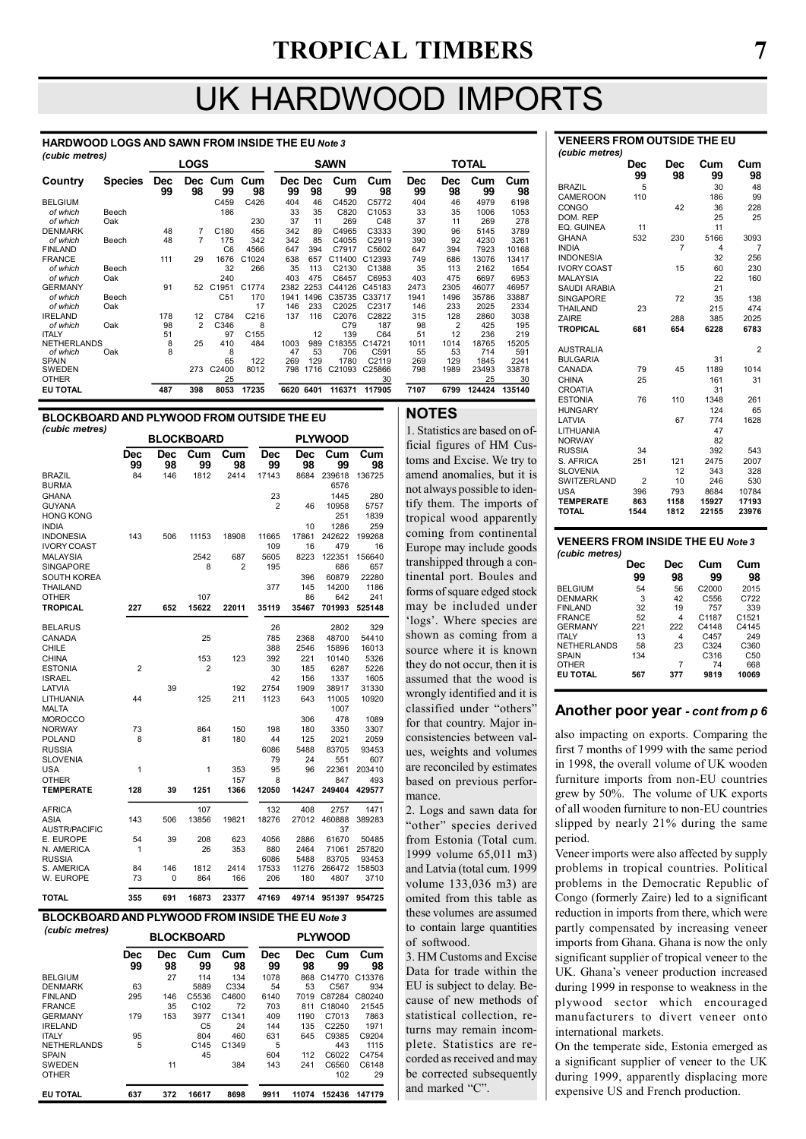# UK HARDWOOD IMPORTS

#### HARDWOOD LOGS AND SAWN FROM INSIDE THE EU Note 3 (cubic metres)

| $($ capic ilicu co $)$ |                |                  | <b>LOGS</b>      |                   |                  |      | <b>SAWN</b>   |           |                   |                  |                  | <b>TOTAL</b> |           |  |
|------------------------|----------------|------------------|------------------|-------------------|------------------|------|---------------|-----------|-------------------|------------------|------------------|--------------|-----------|--|
| Country                | <b>Species</b> | <b>Dec</b><br>99 | <b>Dec</b><br>98 | 99                | Cum Cum<br>98    | 99   | Dec Dec<br>98 | Cum<br>99 | Cum<br>98         | <b>Dec</b><br>99 | <b>Dec</b><br>98 | Cum<br>99    | Cum<br>98 |  |
| <b>BELGIUM</b>         |                |                  |                  | C459              | C426             | 404  | 46            | C4520     | C5772             | 404              | 46               | 4979         | 6198      |  |
| of which               | Beech          |                  |                  | 186               |                  | 33   | 35            | C820      | C1053             | 33               | 35               | 1006         | 1053      |  |
| of which               | Oak            |                  |                  |                   | 230              | 37   | 11            | 269       | C48               | 37               | 11               | 269          | 278       |  |
| <b>DENMARK</b>         |                | 48               | 7                | C180              | 456              | 342  | 89            | C4965     | C3333             | 390              | 96               | 5145         | 3789      |  |
| of which               | Beech          | 48               | 7                | 175               | 342              | 342  | 85            | C4055     | C2919             | 390              | 92               | 4230         | 3261      |  |
| <b>FINLAND</b>         |                |                  |                  | C <sub>6</sub>    | 4566             | 647  | 394           | C7917     | C5602             | 647              | 394              | 7923         | 10168     |  |
| <b>FRANCE</b>          |                | 111              | 29               | 1676              | C1024            | 638  | 657           | C11400    | C12393            | 749              | 686              | 13076        | 13417     |  |
| of which               | Beech          |                  |                  | 32                | 266              | 35   | 113           | C2130     | C1388             | 35               | 113              | 2162         | 1654      |  |
| of which               | Oak            |                  |                  | 240               |                  | 403  | 475           | C6457     | C6953             | 403              | 475              | 6697         | 6953      |  |
| <b>GERMANY</b>         |                | 91               | 52               | C <sub>1951</sub> | C1774            | 2382 | 2253          | C44126    | C45183            | 2473             | 2305             | 46077        | 46957     |  |
| of which               | Beech          |                  |                  | C <sub>51</sub>   | 170              | 1941 | 1496          | C35735    | C33717            | 1941             | 1496             | 35786        | 33887     |  |
| of which               | Oak            |                  |                  |                   | 17               | 146  | 233           | C2025     | C2317             | 146              | 233              | 2025         | 2334      |  |
| <b>IRELAND</b>         |                | 178              | 12               | C784              | C <sub>216</sub> | 137  | 116           | C2076     | C2822             | 315              | 128              | 2860         | 3038      |  |
| of which               | Oak            | 98               | $\overline{2}$   | C346              | 8                |      |               | C79       | 187               | 98               | $\overline{2}$   | 425          | 195       |  |
| <b>ITALY</b>           |                | 51               |                  | 97                | C <sub>155</sub> |      | 12            | 139       | C64               | 51               | 12               | 236          | 219       |  |
| <b>NETHERLANDS</b>     |                | 8                | 25               | 410               | 484              | 1003 | 989           | C18355    | C14721            | 1011             | 1014             | 18765        | 15205     |  |
| of which               | Oak            | 8                |                  | 8                 |                  | 47   | 53            | 706       | C591              | 55               | 53               | 714          | 591       |  |
| <b>SPAIN</b>           |                |                  |                  | 65                | 122              | 269  | 129           | 1780      | C <sub>2119</sub> | 269              | 129              | 1845         | 2241      |  |
| SWEDEN                 |                |                  | 273              | C2400             | 8012             | 798  | 1716          | C21093    | C25866            | 798              | 1989             | 23493        | 33878     |  |
| <b>OTHER</b>           |                |                  |                  | 25                |                  |      |               |           | 30                |                  |                  | 25           | 30        |  |
| <b>EU TOTAL</b>        |                | 487              | 398              | 8053              | 17235            | 6620 | 6401          | 116371    | 117905            | 7107             | 6799             | 124424       | 135140    |  |

#### BLOCKBOARD AND PLYWOOD FROM OUTSIDE THE EU (cubic metres)

|                               |                |           | <b>BLOCKBOARD</b> |             |                  |                  | <b>PLYWOOD</b>  |                 |
|-------------------------------|----------------|-----------|-------------------|-------------|------------------|------------------|-----------------|-----------------|
|                               | Dec<br>99      | Dec<br>98 | Cum<br>99         | Cum<br>98   | <b>Dec</b><br>99 | <b>Dec</b><br>98 | Cum<br>99       | Cum<br>98       |
| <b>BRAZIL</b><br><b>BURMA</b> | 84             | 146       | 1812              | 2414        | 17143            | 8684             | 239618<br>6576  | 136725          |
| <b>GHANA</b>                  |                |           |                   |             | 23               |                  | 1445            | 280             |
| <b>GUYANA</b>                 |                |           |                   |             | $\overline{2}$   | 46               | 10958           | 5757            |
| <b>HONG KONG</b>              |                |           |                   |             |                  |                  | 251             | 1839            |
| <b>INDIA</b>                  |                |           |                   |             |                  | 10               | 1286            | 259             |
| <b>INDONESIA</b>              | 143            | 506       | 11153             | 18908       | 11665            | 17861            | 242622          | 199268          |
| <b>IVORY COAST</b>            |                |           |                   |             | 109              | 16               | 479             | 16              |
| <b>MALAYSIA</b>               |                |           | 2542              | 687         | 5605             | 8223             | 122351          | 156640          |
| <b>SINGAPORE</b>              |                |           | 8                 | 2           | 195              |                  | 686             | 657             |
| <b>SOUTH KOREA</b>            |                |           |                   |             |                  | 396              | 60879           | 22280           |
| THAILAND                      |                |           |                   |             | 377              | 145              | 14200           | 1186            |
| <b>OTHER</b>                  |                |           | 107               |             |                  | 86               | 642             | 241             |
| <b>TROPICAL</b>               | 227            | 652       | 15622             | 22011       | 35119            | 35467            | 701993          | 525148          |
| <b>BELARUS</b>                |                |           |                   |             | 26               |                  | 2802            | 329             |
| CANADA                        |                |           | 25                |             | 785              | 2368             | 48700           | 54410           |
| CHILE                         |                |           |                   |             | 388              | 2546             | 15896           | 16013           |
| <b>CHINA</b>                  |                |           | 153               | 123         | 392              | 221              | 10140           | 5326            |
| <b>ESTONIA</b>                | $\overline{2}$ |           | 2                 |             | 30               | 185              | 6287            | 5226            |
| <b>ISRAEL</b>                 |                |           |                   |             | 42               | 156              | 1337            | 1605            |
| LATVIA                        |                | 39        |                   | 192         | 2754             | 1909             | 38917           | 31330           |
| LITHUANIA                     | 44             |           | 125               | 211         | 1123             | 643              | 11005           | 10920           |
| <b>MALTA</b>                  |                |           |                   |             |                  |                  | 1007            |                 |
| <b>MOROCCO</b>                |                |           |                   |             |                  | 306              | 478             | 1089            |
| <b>NORWAY</b>                 | 73             |           | 864               | 150         | 198              | 180              | 3350            | 3307            |
| <b>POLAND</b>                 | 8              |           | 81                | 180         | 44               | 125              | 2021            | 2059            |
| <b>RUSSIA</b>                 |                |           |                   |             | 6086             | 5488             | 83705           | 93453           |
| <b>SLOVENIA</b>               |                |           |                   |             | 79               | 24               | 551             | 607             |
| <b>USA</b>                    | 1              |           | 1                 | 353         | 95               | 96               | 22361           | 203410          |
| <b>OTHER</b>                  |                |           |                   | 157         | 8                |                  | 847             | 493             |
| <b>TEMPERATE</b>              | 128            | 39        | 1251              | 1366        | 12050            | 14247            | 249404          | 429577          |
| <b>AFRICA</b>                 |                |           | 107               |             | 132              | 408              | 2757            | 1471            |
| ASIA                          | 143            | 506       | 13856             | 19821       | 18276            | 27012            | 460888          | 389283          |
| <b>AUSTR/PACIFIC</b>          |                |           |                   |             |                  |                  | 37              |                 |
| E. EUROPE                     | 54             | 39        | 208               | 623         | 4056             | 2886             | 61670           | 50485           |
| N. AMERICA                    | 1              |           | 26                | 353         | 880              | 2464             | 71061           | 257820          |
| <b>RUSSIA</b><br>S. AMERICA   |                | 146       |                   |             | 6086<br>17533    | 5488<br>11276    | 83705<br>266472 | 93453<br>158503 |
| W. EUROPE                     | 84<br>73       | 0         | 1812<br>864       | 2414<br>166 | 206              | 180              | 4807            | 3710            |
| <b>TOTAL</b>                  | 355            | 691       | 16873             | 23377       | 47169            | 49714            | 951397          | 954725          |
|                               |                |           |                   |             |                  |                  |                 |                 |

#### BLOCKBOARD AND PLYWOOD FROM INSIDE THE EU Note 3

| (cubic metres)     |           |                  | <b>BLOCKBOARD</b> |                   |                  |                  | <b>PLYWOOD</b>    |                    |
|--------------------|-----------|------------------|-------------------|-------------------|------------------|------------------|-------------------|--------------------|
|                    | Dec<br>99 | <b>Dec</b><br>98 | Cum<br>99         | Cum<br>98         | <b>Dec</b><br>99 | <b>Dec</b><br>98 | Cum<br>99         | Cum<br>98          |
| <b>BELGIUM</b>     |           | 27               | 114               | 134               | 1078             | 868              | C14770            | C <sub>13376</sub> |
| <b>DENMARK</b>     | 63        |                  | 5889              | C334              | 54               | 53               | C <sub>567</sub>  | 934                |
| <b>FINLAND</b>     | 295       | 146              | C5536             | C4600             | 6140             | 7019             | C87284            | C80240             |
| <b>FRANCE</b>      |           | 35               | C <sub>102</sub>  | 72                | 703              | 811              | C18040            | 21545              |
| <b>GERMANY</b>     | 179       | 153              | 3977              | C <sub>1341</sub> | 409              | 1190             | C7013             | 7863               |
| <b>IRELAND</b>     |           |                  | C <sub>5</sub>    | 24                | 144              | 135              | C <sub>2250</sub> | 1971               |
| <b>ITALY</b>       | 95        |                  | 804               | 460               | 631              | 645              | C9385             | C9204              |
| <b>NETHERLANDS</b> | 5         |                  | C <sub>145</sub>  | C <sub>1349</sub> | 5                |                  | 443               | 1115               |
| <b>SPAIN</b>       |           |                  | 45                |                   | 604              | 112              | C6022             | C4754              |
| <b>SWEDEN</b>      |           | 11               |                   | 384               | 143              | 241              | C6560             | C6148              |
| <b>OTHER</b>       |           |                  |                   |                   |                  |                  | 102               | 29                 |
| <b>EU TOTAL</b>    | 637       | 372              | 16617             | 8698              | 9911             | 11074            | 152436            | 147179             |

#### NOTES

1. Statistics are based on official figures of HM Customs and Excise. We try to amend anomalies, but it is not always possible to identify them. The imports of tropical wood apparently coming from continental Europe may include goods transhipped through a continental port. Boules and forms of square edged stock may be included under 'logs'. Where species are shown as coming from a source where it is known they do not occur, then it is assumed that the wood is wrongly identified and it is classified under "others" for that country. Major inconsistencies between values, weights and volumes are reconciled by estimates based on previous performance.

2. Logs and sawn data for "other" species derived from Estonia (Total cum. 1999 volume 65,011 m3) and Latvia (total cum. 1999 volume 133,036 m3) are omited from this table as these volumes are assumed to contain large quantities of softwood.

3. HM Customs and Excise Data for trade within the EU is subject to delay. Because of new methods of statistical collection, returns may remain incomplete. Statistics are recorded as received and may be corrected subsequently and marked "C".

|                    | Dec<br>99 | Dec<br>98 | Cum<br>99 | Cum<br>98 |
|--------------------|-----------|-----------|-----------|-----------|
| <b>BRAZIL</b>      | 5         |           | 30        | 48        |
| <b>CAMEROON</b>    | 110       |           | 186       | 99        |
| CONGO              |           | 42        | 36        | 228       |
| DOM. REP           |           |           | 25        | 25        |
| EQ. GUINEA         | 11        |           | 11        |           |
| <b>GHANA</b>       | 532       | 230       | 5166      | 3093      |
| <b>INDIA</b>       |           | 7         | 4         | 7         |
| <b>INDONESIA</b>   |           |           | 32        | 256       |
| <b>IVORY COAST</b> |           | 15        | 60        | 230       |
| <b>MALAYSIA</b>    |           |           | 22        | 160       |
| SAUDI ARABIA       |           |           | 21        |           |
| <b>SINGAPORE</b>   |           | 72        | 35        | 138       |
| <b>THAILAND</b>    | 23        |           | 215       | 474       |
| ZAIRE              |           | 288       | 385       | 2025      |
| <b>TROPICAL</b>    | 681       | 654       | 6228      | 6783      |
| AUSTRALIA          |           |           |           | 2         |
| <b>BULGARIA</b>    |           |           | 31        |           |
| CANADA             | 79        | 45        | 1189      | 1014      |
| <b>CHINA</b>       | 25        |           | 161       | 31        |
| <b>CROATIA</b>     |           |           | 31        |           |
| <b>ESTONIA</b>     | 76        | 110       | 1348      | 261       |
| <b>HUNGARY</b>     |           |           | 124       | 65        |

VENEERS FROM OUTSIDE THE EU

(cubic metres)

#### LATVIA 67 774 1628 LITHUANIA 47<br>NORWAY 82 NORWAY 82 PUSSIA 34 392 543<br>S. AFRICA 251 121 2475 2007 S. AFRICA 251 121 2475 2007<br>SLOVENIA 251 121 2475 2007<br>12 343 328 SLOVENIA 12 343 328<br>SWITZERLAND 2 10 246 530 SWITZERLAND USA 396 793 8684 10784 TEMPERATE 863 1158 15927 17193 **TOTAL** VENEERS FROM INSIDE THE EU Note 3

#### (cubic metres) Dec Dec Cum Cum<br>99 98 99 98 99 98 99 98 BELGIUM 54 56 C2000 2015 DENMARK 3 42 C556 C722 FINLAND 32 19 757 339 FRANCE 52 4 C1187 C1521 GERMANY 221 222 C4148 C4145<br>GERMANY 221 222 C4148 C4145 ITALY 13 4 C457 249 NETHERLANDS 58 23 C324 C360 SPAIN 134 C316 C50 OTHER 1941<br>**OTHER 7 74 668<br>EUTOTAL 567 377 9819 10069** ELI TOTAL

#### Another poor year - cont from p 6

also impacting on exports. Comparing the first 7 months of 1999 with the same period in 1998, the overall volume of UK wooden furniture imports from non-EU countries grew by 50%. The volume of UK exports of all wooden furniture to non-EU countries slipped by nearly 21% during the same period.

Veneer imports were also affected by supply problems in tropical countries. Political problems in the Democratic Republic of Congo (formerly Zaire) led to a significant reduction in imports from there, which were partly compensated by increasing veneer imports from Ghana. Ghana is now the only significant supplier of tropical veneer to the UK. Ghana's veneer production increased during 1999 in response to weakness in the plywood sector which encouraged manufacturers to divert veneer onto international markets.

On the temperate side, Estonia emerged as a significant supplier of veneer to the UK during 1999, apparently displacing more expensive US and French production.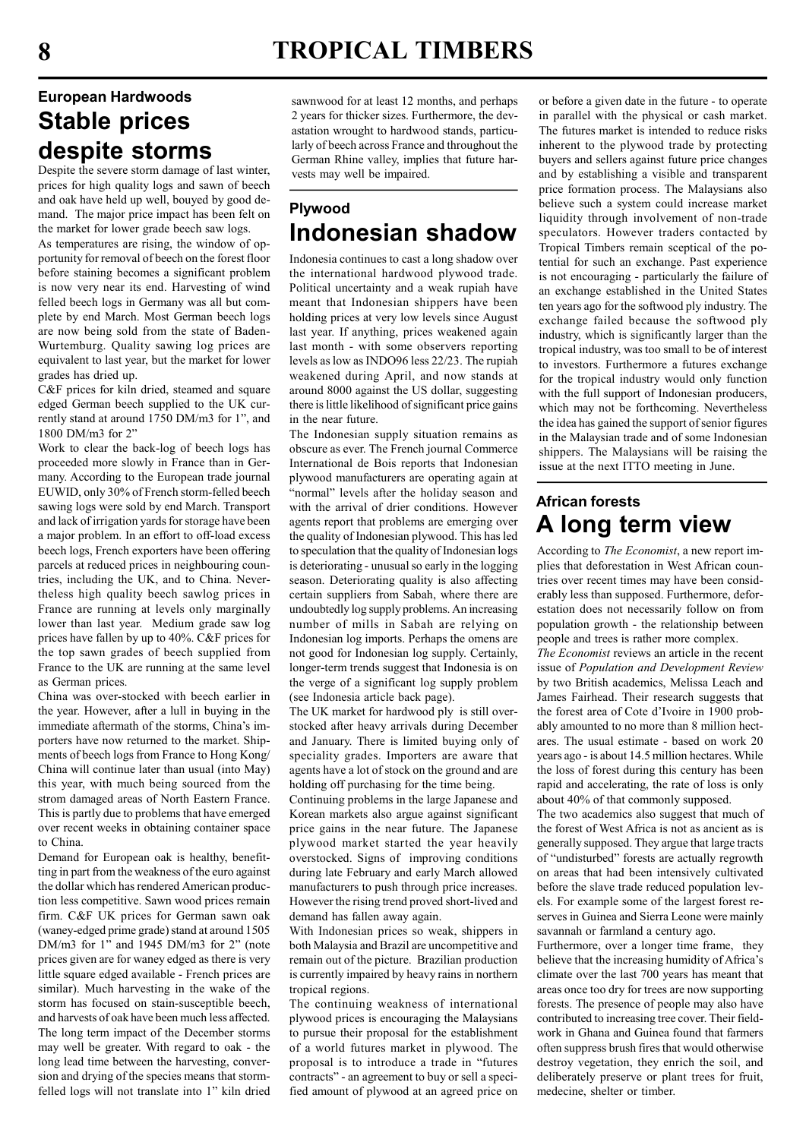# European Hardwoods Stable prices despite storms

Despite the severe storm damage of last winter, prices for high quality logs and sawn of beech and oak have held up well, bouyed by good demand. The major price impact has been felt on the market for lower grade beech saw logs.

As temperatures are rising, the window of opportunity for removal of beech on the forest floor before staining becomes a significant problem is now very near its end. Harvesting of wind felled beech logs in Germany was all but complete by end March. Most German beech logs are now being sold from the state of Baden-Wurtemburg. Quality sawing log prices are equivalent to last year, but the market for lower grades has dried up.

C&F prices for kiln dried, steamed and square edged German beech supplied to the UK currently stand at around 1750 DM/m3 for 1", and 1800 DM/m3 for 2"

Work to clear the back-log of beech logs has proceeded more slowly in France than in Germany. According to the European trade journal EUWID, only 30% of French storm-felled beech sawing logs were sold by end March. Transport and lack of irrigation yards for storage have been a major problem. In an effort to off-load excess beech logs, French exporters have been offering parcels at reduced prices in neighbouring countries, including the UK, and to China. Nevertheless high quality beech sawlog prices in France are running at levels only marginally lower than last year. Medium grade saw log prices have fallen by up to 40%. C&F prices for the top sawn grades of beech supplied from France to the UK are running at the same level as German prices.

China was over-stocked with beech earlier in the year. However, after a lull in buying in the immediate aftermath of the storms, China's importers have now returned to the market. Shipments of beech logs from France to Hong Kong/ China will continue later than usual (into May) this year, with much being sourced from the strom damaged areas of North Eastern France. This is partly due to problems that have emerged over recent weeks in obtaining container space to China.

Demand for European oak is healthy, benefitting in part from the weakness of the euro against the dollar which has rendered American production less competitive. Sawn wood prices remain firm. C&F UK prices for German sawn oak (waney-edged prime grade) stand at around 1505 DM/m3 for 1" and 1945 DM/m3 for 2" (note prices given are for waney edged as there is very little square edged available - French prices are similar). Much harvesting in the wake of the storm has focused on stain-susceptible beech, and harvests of oak have been much less affected. The long term impact of the December storms may well be greater. With regard to oak - the long lead time between the harvesting, conversion and drying of the species means that stormfelled logs will not translate into 1" kiln dried sawnwood for at least 12 months, and perhaps 2 years for thicker sizes. Furthermore, the devastation wrought to hardwood stands, particularly of beech across France and throughout the German Rhine valley, implies that future harvests may well be impaired.

# Plywood Indonesian shadow

Indonesia continues to cast a long shadow over the international hardwood plywood trade. Political uncertainty and a weak rupiah have meant that Indonesian shippers have been holding prices at very low levels since August last year. If anything, prices weakened again last month - with some observers reporting levels as low as INDO96 less 22/23. The rupiah weakened during April, and now stands at around 8000 against the US dollar, suggesting there is little likelihood of significant price gains in the near future.

The Indonesian supply situation remains as obscure as ever. The French journal Commerce International de Bois reports that Indonesian plywood manufacturers are operating again at "normal" levels after the holiday season and with the arrival of drier conditions. However agents report that problems are emerging over the quality of Indonesian plywood. This has led to speculation that the quality of Indonesian logs is deteriorating - unusual so early in the logging season. Deteriorating quality is also affecting certain suppliers from Sabah, where there are undoubtedly log supply problems. An increasing number of mills in Sabah are relying on Indonesian log imports. Perhaps the omens are not good for Indonesian log supply. Certainly, longer-term trends suggest that Indonesia is on the verge of a significant log supply problem (see Indonesia article back page).

The UK market for hardwood ply is still overstocked after heavy arrivals during December and January. There is limited buying only of speciality grades. Importers are aware that agents have a lot of stock on the ground and are holding off purchasing for the time being.

Continuing problems in the large Japanese and Korean markets also argue against significant price gains in the near future. The Japanese plywood market started the year heavily overstocked. Signs of improving conditions during late February and early March allowed manufacturers to push through price increases. However the rising trend proved short-lived and demand has fallen away again.

With Indonesian prices so weak, shippers in both Malaysia and Brazil are uncompetitive and remain out of the picture. Brazilian production is currently impaired by heavy rains in northern tropical regions.

The continuing weakness of international plywood prices is encouraging the Malaysians to pursue their proposal for the establishment of a world futures market in plywood. The proposal is to introduce a trade in "futures contracts" - an agreement to buy or sell a specified amount of plywood at an agreed price on or before a given date in the future - to operate in parallel with the physical or cash market. The futures market is intended to reduce risks inherent to the plywood trade by protecting buyers and sellers against future price changes and by establishing a visible and transparent price formation process. The Malaysians also believe such a system could increase market liquidity through involvement of non-trade speculators. However traders contacted by Tropical Timbers remain sceptical of the potential for such an exchange. Past experience is not encouraging - particularly the failure of an exchange established in the United States ten years ago for the softwood ply industry. The exchange failed because the softwood ply industry, which is significantly larger than the tropical industry, was too small to be of interest to investors. Furthermore a futures exchange for the tropical industry would only function with the full support of Indonesian producers, which may not be forthcoming. Nevertheless the idea has gained the support of senior figures in the Malaysian trade and of some Indonesian shippers. The Malaysians will be raising the issue at the next ITTO meeting in June.

# African forests A long term view

According to The Economist, a new report implies that deforestation in West African countries over recent times may have been considerably less than supposed. Furthermore, deforestation does not necessarily follow on from population growth - the relationship between people and trees is rather more complex.

The Economist reviews an article in the recent issue of Population and Development Review by two British academics, Melissa Leach and James Fairhead. Their research suggests that the forest area of Cote d'Ivoire in 1900 probably amounted to no more than 8 million hectares. The usual estimate - based on work 20 years ago - is about 14.5 million hectares. While the loss of forest during this century has been rapid and accelerating, the rate of loss is only about 40% of that commonly supposed.

The two academics also suggest that much of the forest of West Africa is not as ancient as is generally supposed. They argue that large tracts of "undisturbed" forests are actually regrowth on areas that had been intensively cultivated before the slave trade reduced population levels. For example some of the largest forest reserves in Guinea and Sierra Leone were mainly savannah or farmland a century ago.

Furthermore, over a longer time frame, they believe that the increasing humidity of Africa's climate over the last 700 years has meant that areas once too dry for trees are now supporting forests. The presence of people may also have contributed to increasing tree cover. Their fieldwork in Ghana and Guinea found that farmers often suppress brush fires that would otherwise destroy vegetation, they enrich the soil, and deliberately preserve or plant trees for fruit, medecine, shelter or timber.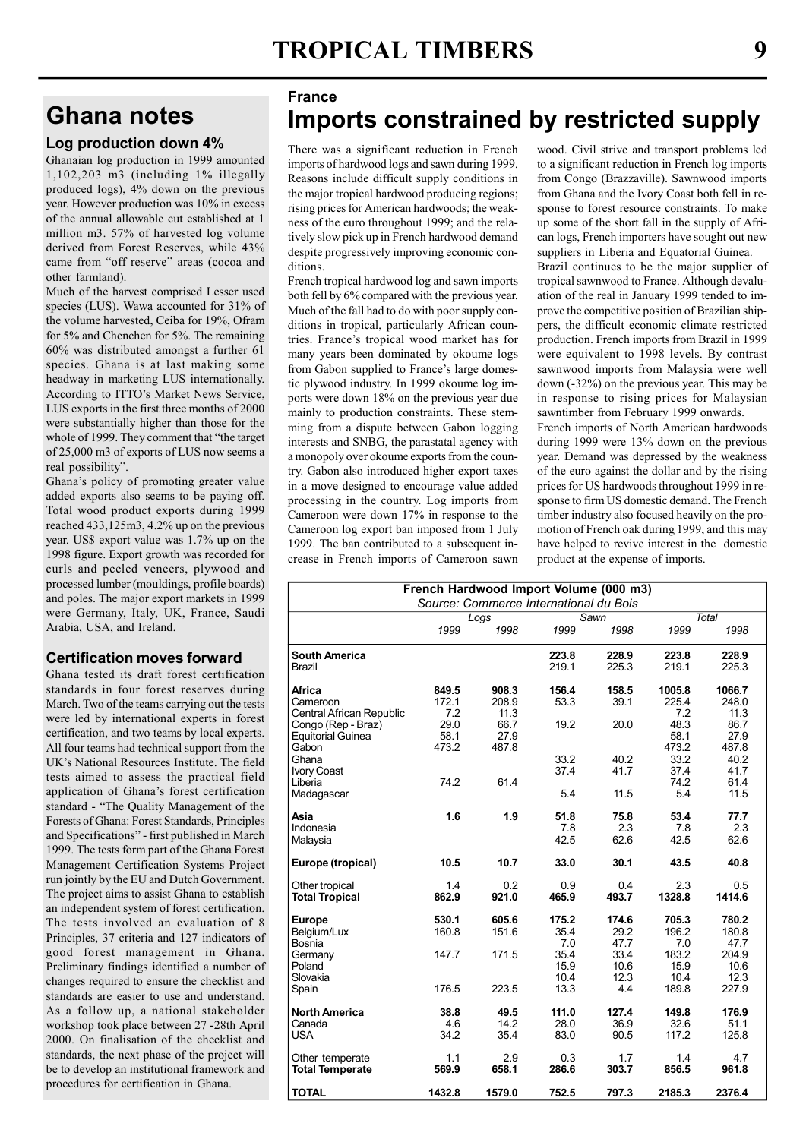# Ghana notes

#### Log production down 4%

Ghanaian log production in 1999 amounted 1,102,203 m3 (including 1% illegally produced logs), 4% down on the previous year. However production was 10% in excess of the annual allowable cut established at 1 million m3. 57% of harvested log volume derived from Forest Reserves, while 43% came from "off reserve" areas (cocoa and other farmland).

Much of the harvest comprised Lesser used species (LUS). Wawa accounted for 31% of the volume harvested, Ceiba for 19%, Ofram for 5% and Chenchen for 5%. The remaining 60% was distributed amongst a further 61 species. Ghana is at last making some headway in marketing LUS internationally. According to ITTO's Market News Service, LUS exports in the first three months of 2000 were substantially higher than those for the whole of 1999. They comment that "the target of 25,000 m3 of exports of LUS now seems a real possibility".

Ghana's policy of promoting greater value added exports also seems to be paying off. Total wood product exports during 1999 reached 433,125m3, 4.2% up on the previous year. US\$ export value was 1.7% up on the 1998 figure. Export growth was recorded for curls and peeled veneers, plywood and processed lumber (mouldings, profile boards) and poles. The major export markets in 1999 were Germany, Italy, UK, France, Saudi Arabia, USA, and Ireland.

#### Certification moves forward

Ghana tested its draft forest certification standards in four forest reserves during March. Two of the teams carrying out the tests were led by international experts in forest certification, and two teams by local experts. All four teams had technical support from the UK's National Resources Institute. The field tests aimed to assess the practical field application of Ghana's forest certification standard - "The Quality Management of the Forests of Ghana: Forest Standards, Principles and Specifications" - first published in March 1999. The tests form part of the Ghana Forest Management Certification Systems Project run jointly by the EU and Dutch Government. The project aims to assist Ghana to establish an independent system of forest certification. The tests involved an evaluation of 8 Principles, 37 criteria and 127 indicators of good forest management in Ghana. Preliminary findings identified a number of changes required to ensure the checklist and standards are easier to use and understand. As a follow up, a national stakeholder workshop took place between 27 -28th April 2000. On finalisation of the checklist and standards, the next phase of the project will be to develop an institutional framework and procedures for certification in Ghana.

### France Imports constrained by restricted supply

There was a significant reduction in French imports of hardwood logs and sawn during 1999. Reasons include difficult supply conditions in the major tropical hardwood producing regions; rising prices for American hardwoods; the weakness of the euro throughout 1999; and the relatively slow pick up in French hardwood demand despite progressively improving economic conditions.

French tropical hardwood log and sawn imports both fell by 6% compared with the previous year. Much of the fall had to do with poor supply conditions in tropical, particularly African countries. France's tropical wood market has for many years been dominated by okoume logs from Gabon supplied to France's large domestic plywood industry. In 1999 okoume log imports were down 18% on the previous year due mainly to production constraints. These stemming from a dispute between Gabon logging interests and SNBG, the parastatal agency with a monopoly over okoume exports from the country. Gabon also introduced higher export taxes in a move designed to encourage value added processing in the country. Log imports from Cameroon were down 17% in response to the Cameroon log export ban imposed from 1 July 1999. The ban contributed to a subsequent increase in French imports of Cameroon sawn wood. Civil strive and transport problems led to a significant reduction in French log imports from Congo (Brazzaville). Sawnwood imports from Ghana and the Ivory Coast both fell in response to forest resource constraints. To make up some of the short fall in the supply of African logs, French importers have sought out new suppliers in Liberia and Equatorial Guinea.

Brazil continues to be the major supplier of tropical sawnwood to France. Although devaluation of the real in January 1999 tended to improve the competitive position of Brazilian shippers, the difficult economic climate restricted production. French imports from Brazil in 1999 were equivalent to 1998 levels. By contrast sawnwood imports from Malaysia were well down (-32%) on the previous year. This may be in response to rising prices for Malaysian sawntimber from February 1999 onwards.

French imports of North American hardwoods during 1999 were 13% down on the previous year. Demand was depressed by the weakness of the euro against the dollar and by the rising prices for US hardwoods throughout 1999 in response to firm US domestic demand. The French timber industry also focused heavily on the promotion of French oak during 1999, and this may have helped to revive interest in the domestic product at the expense of imports.

| French Hardwood Import Volume (000 m3)                                      |                                        |                                |                              |                               |                                |                                 |  |  |  |
|-----------------------------------------------------------------------------|----------------------------------------|--------------------------------|------------------------------|-------------------------------|--------------------------------|---------------------------------|--|--|--|
|                                                                             | Source: Commerce International du Bois |                                |                              |                               |                                |                                 |  |  |  |
|                                                                             | Logs                                   |                                | Sawn                         |                               | <b>Total</b>                   |                                 |  |  |  |
|                                                                             | 1999                                   | 1998                           | 1999                         | 1998                          | 1999                           | 1998                            |  |  |  |
| <b>South America</b><br>Brazil                                              |                                        |                                | 223.8<br>219.1               | 228.9<br>225.3                | 223.8<br>219.1                 | 228.9<br>225.3                  |  |  |  |
| <b>Africa</b><br>Cameroon<br>Central African Republic<br>Congo (Rep - Braz) | 849.5<br>172.1<br>7.2<br>29.0          | 908.3<br>208.9<br>11.3<br>66.7 | 156.4<br>53.3<br>19.2        | 158.5<br>39.1<br>20.0         | 1005.8<br>225.4<br>7.2<br>48.3 | 1066.7<br>248.0<br>11.3<br>86.7 |  |  |  |
| <b>Equitorial Guinea</b><br>Gabon<br>Ghana                                  | 58.1<br>473.2                          | 27.9<br>487.8                  | 33.2                         | 40.2                          | 58.1<br>473.2<br>33.2          | 27.9<br>487.8<br>40.2           |  |  |  |
| <b>Ivory Coast</b><br>Liberia<br>Madagascar                                 | 74.2                                   | 61.4                           | 37.4<br>5.4                  | 41.7<br>11.5                  | 37.4<br>74.2<br>5.4            | 41.7<br>61.4<br>11.5            |  |  |  |
| Asia<br>Indonesia<br>Malaysia                                               | 1.6                                    | 1.9                            | 51.8<br>7.8<br>42.5          | 75.8<br>2.3<br>62.6           | 53.4<br>7.8<br>42.5            | 77.7<br>2.3<br>62.6             |  |  |  |
| Europe (tropical)                                                           | 10.5                                   | 10.7                           | 33.0                         | 30.1                          | 43.5                           | 40.8                            |  |  |  |
| Other tropical<br><b>Total Tropical</b>                                     | 1.4<br>862.9                           | 0.2<br>921.0                   | 0.9<br>465.9                 | 0.4<br>493.7                  | 2.3<br>1328.8                  | 0.5<br>1414.6                   |  |  |  |
| <b>Europe</b><br>Belgium/Lux<br>Bosnia<br>Germany                           | 530.1<br>160.8<br>147.7                | 605.6<br>151.6<br>171.5        | 175.2<br>35.4<br>7.0<br>35.4 | 174.6<br>29.2<br>47.7<br>33.4 | 705.3<br>196.2<br>7.0<br>183.2 | 780.2<br>180.8<br>47.7<br>204.9 |  |  |  |
| Poland<br>Slovakia<br>Spain                                                 | 176.5                                  | 223.5                          | 15.9<br>10.4<br>13.3         | 10.6<br>12.3<br>4.4           | 15.9<br>10.4<br>189.8          | 10.6<br>12.3<br>227.9           |  |  |  |
| <b>North America</b><br>Canada<br><b>USA</b>                                | 38.8<br>4.6<br>34.2                    | 49.5<br>14.2<br>35.4           | 111.0<br>28.0<br>83.0        | 127.4<br>36.9<br>90.5         | 149.8<br>32.6<br>117.2         | 176.9<br>51.1<br>125.8          |  |  |  |
| Other temperate<br><b>Total Temperate</b>                                   | 1.1<br>569.9                           | 2.9<br>658.1                   | 0.3<br>286.6                 | 1.7<br>303.7                  | 1.4<br>856.5                   | 4.7<br>961.8                    |  |  |  |
| <b>TOTAL</b>                                                                | 1432.8                                 | 1579.0                         | 752.5                        | 797.3                         | 2185.3                         | 2376.4                          |  |  |  |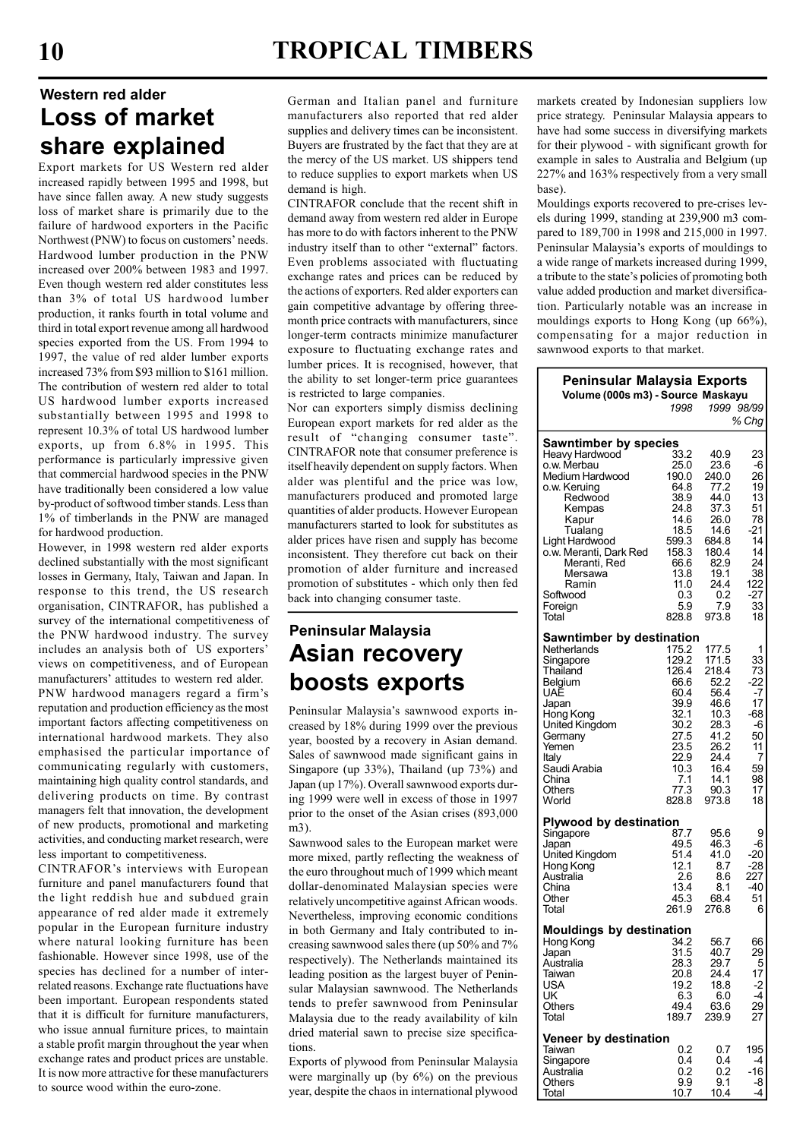# Western red alder Loss of market share explained

Export markets for US Western red alder increased rapidly between 1995 and 1998, but have since fallen away. A new study suggests loss of market share is primarily due to the failure of hardwood exporters in the Pacific Northwest (PNW) to focus on customers' needs. Hardwood lumber production in the PNW increased over 200% between 1983 and 1997. Even though western red alder constitutes less than 3% of total US hardwood lumber production, it ranks fourth in total volume and third in total export revenue among all hardwood species exported from the US. From 1994 to 1997, the value of red alder lumber exports increased 73% from \$93 million to \$161 million. The contribution of western red alder to total US hardwood lumber exports increased substantially between 1995 and 1998 to represent 10.3% of total US hardwood lumber exports, up from 6.8% in 1995. This performance is particularly impressive given that commercial hardwood species in the PNW have traditionally been considered a low value by-product of softwood timber stands. Less than 1% of timberlands in the PNW are managed for hardwood production.

However, in 1998 western red alder exports declined substantially with the most significant losses in Germany, Italy, Taiwan and Japan. In response to this trend, the US research organisation, CINTRAFOR, has published a survey of the international competitiveness of the PNW hardwood industry. The survey includes an analysis both of US exporters' views on competitiveness, and of European manufacturers' attitudes to western red alder. PNW hardwood managers regard a firm's reputation and production efficiency as the most important factors affecting competitiveness on international hardwood markets. They also emphasised the particular importance of communicating regularly with customers, maintaining high quality control standards, and delivering products on time. By contrast managers felt that innovation, the development of new products, promotional and marketing activities, and conducting market research, were less important to competitiveness.

CINTRAFOR's interviews with European furniture and panel manufacturers found that the light reddish hue and subdued grain appearance of red alder made it extremely popular in the European furniture industry where natural looking furniture has been fashionable. However since 1998, use of the species has declined for a number of interrelated reasons. Exchange rate fluctuations have been important. European respondents stated that it is difficult for furniture manufacturers, who issue annual furniture prices, to maintain a stable profit margin throughout the year when exchange rates and product prices are unstable. It is now more attractive for these manufacturers to source wood within the euro-zone.

German and Italian panel and furniture manufacturers also reported that red alder supplies and delivery times can be inconsistent. Buyers are frustrated by the fact that they are at the mercy of the US market. US shippers tend to reduce supplies to export markets when US demand is high.

CINTRAFOR conclude that the recent shift in demand away from western red alder in Europe has more to do with factors inherent to the PNW industry itself than to other "external" factors. Even problems associated with fluctuating exchange rates and prices can be reduced by the actions of exporters. Red alder exporters can gain competitive advantage by offering threemonth price contracts with manufacturers, since longer-term contracts minimize manufacturer exposure to fluctuating exchange rates and lumber prices. It is recognised, however, that the ability to set longer-term price guarantees is restricted to large companies.

Nor can exporters simply dismiss declining European export markets for red alder as the result of "changing consumer taste". CINTRAFOR note that consumer preference is itself heavily dependent on supply factors. When alder was plentiful and the price was low, manufacturers produced and promoted large quantities of alder products. However European manufacturers started to look for substitutes as alder prices have risen and supply has become inconsistent. They therefore cut back on their promotion of alder furniture and increased promotion of substitutes - which only then fed back into changing consumer taste.

# Peninsular Malaysia Asian recovery boosts exports

Peninsular Malaysia's sawnwood exports increased by 18% during 1999 over the previous year, boosted by a recovery in Asian demand. Sales of sawnwood made significant gains in Singapore (up 33%), Thailand (up 73%) and Japan (up 17%). Overall sawnwood exports during 1999 were well in excess of those in 1997 prior to the onset of the Asian crises (893,000 m3).

Sawnwood sales to the European market were more mixed, partly reflecting the weakness of the euro throughout much of 1999 which meant dollar-denominated Malaysian species were relatively uncompetitive against African woods. Nevertheless, improving economic conditions in both Germany and Italy contributed to increasing sawnwood sales there (up 50% and 7% respectively). The Netherlands maintained its leading position as the largest buyer of Peninsular Malaysian sawnwood. The Netherlands tends to prefer sawnwood from Peninsular Malaysia due to the ready availability of kiln dried material sawn to precise size specifications.

Exports of plywood from Peninsular Malaysia were marginally up (by 6%) on the previous year, despite the chaos in international plywood markets created by Indonesian suppliers low price strategy. Peninsular Malaysia appears to have had some success in diversifying markets for their plywood - with significant growth for example in sales to Australia and Belgium (up 227% and 163% respectively from a very small base).

Mouldings exports recovered to pre-crises levels during 1999, standing at 239,900 m3 compared to 189,700 in 1998 and 215,000 in 1997. Peninsular Malaysia's exports of mouldings to a wide range of markets increased during 1999, a tribute to the state's policies of promoting both value added production and market diversification. Particularly notable was an increase in mouldings exports to Hong Kong (up 66%), compensating for a major reduction in sawnwood exports to that market.

| Peninsular Malaysia Exports       |               |               |            |  |  |  |
|-----------------------------------|---------------|---------------|------------|--|--|--|
| Volume (000s m3) - Source Maskayu |               |               |            |  |  |  |
|                                   | 1998          | 1999 98/99    |            |  |  |  |
|                                   |               |               | % Chg      |  |  |  |
| <b>Sawntimber by species</b>      |               |               |            |  |  |  |
| Heavy Hardwood                    | 33.2          | 40.9          | 23         |  |  |  |
| o.w. Merbau                       | 25.0          | 23.6          | -6         |  |  |  |
| Medium Hardwood                   | 190.0         | 240.0         | 26         |  |  |  |
| o.w. Keruing                      | 64.8          | 77.2          | 19         |  |  |  |
| Redwood                           | 38.9<br>24.8  | 44.0<br>37.3  | 13<br>51   |  |  |  |
| Kempas<br>Kapur                   | 14.6          | 26.0          | 78         |  |  |  |
| Tualang                           | 18.5          | 14.6          | -21        |  |  |  |
| Light Hardwood                    | 599.3         | 684.8         | 14         |  |  |  |
| o.w. Meranti, Dark Red            | 158.3         | 180.4         | 14         |  |  |  |
| Meranti, Red                      | 66.6          | 82.9          | 24         |  |  |  |
| Mersawa                           | 13.8          | 19.1          | 38         |  |  |  |
| Ramin                             | 11.0          | 24.4          | 122        |  |  |  |
| Softwood                          | 0.3           | 0.2           | -27        |  |  |  |
| Foreign                           | 5.9           | 7.9           | 33         |  |  |  |
| Total                             | 828.8         | 973.8         | 18         |  |  |  |
| Sawntimber by destination         |               |               |            |  |  |  |
| Netherlands                       | 175.2         | 177.5         | 1          |  |  |  |
| Singapore                         | 129.2         | 171.5         | 33         |  |  |  |
| Thailand                          | 126.4         | 218.4         | 73         |  |  |  |
| Belgium                           | 66.6          | 52.2          | -22        |  |  |  |
| UAE                               | 60.4          | 56.4          | -7         |  |  |  |
| Japan                             | 39.9          | 46.6          | 17         |  |  |  |
| Hong Kong<br>United Kingdom       | 32.1<br>30.2  | 10.3<br>28.3  | -68<br>-6  |  |  |  |
| Germany                           | 27.5          | 41.2          | 50         |  |  |  |
| Yemen                             | 23.5          | 26.2          | 11         |  |  |  |
| Italy                             | 22.9          | 24.4          | 7          |  |  |  |
| Saudi Arabia                      | 10.3          | 16.4          | 59         |  |  |  |
| China                             | 7.1           | 14.1          | 98         |  |  |  |
| Others                            | 77.3          | 90.3          | 17         |  |  |  |
| World                             | 828.8         | 973.8         | 18         |  |  |  |
| Plywood by destination            |               |               |            |  |  |  |
| Singapore                         | 87.7          | 95.6          | 9          |  |  |  |
| Japan                             | 49.5          | 46.3          | -6         |  |  |  |
| United Kingdom                    | 51.4          | 41.0          | -20        |  |  |  |
| Hong Kong                         | 12.1          | 8.7           | -28        |  |  |  |
| Australia                         | 2.6           | 8.6           | 227        |  |  |  |
| China                             | 13.4          | 8.1           | -40        |  |  |  |
| Other                             | 45.3<br>261.9 | 68.4<br>276.8 | 51         |  |  |  |
| Total                             |               |               | 6          |  |  |  |
| <b>Mouldings by destination</b>   |               |               |            |  |  |  |
| Hong Kong                         | 34.2          | 56.7          | 66         |  |  |  |
| Japan                             | 31.5          | 40.7          | 29         |  |  |  |
| Australia                         | 28.3          | 29.7          | 5          |  |  |  |
| Taiwan                            | 20.8          | 24.4          | 17         |  |  |  |
| USA                               | 19.2          | 18.8          | -2<br>$-4$ |  |  |  |
| UK<br>Others                      | 6.3<br>49.4   | 6.0<br>63.6   | 29         |  |  |  |
| Total                             | 189.7         | 239.9         | 27         |  |  |  |
|                                   |               |               |            |  |  |  |
| <b>Veneer by destination</b>      |               |               |            |  |  |  |
| Taiwan                            | 0.2           | 0.7           | 195        |  |  |  |
| Singapore                         | 0.4           | 0.4           | -4         |  |  |  |
| Australia                         | 0.2           | 0.2           | -16        |  |  |  |
| Others<br>Total                   | 9.9<br>10.7   | 9.1<br>10.4   | -8<br>-4   |  |  |  |
|                                   |               |               |            |  |  |  |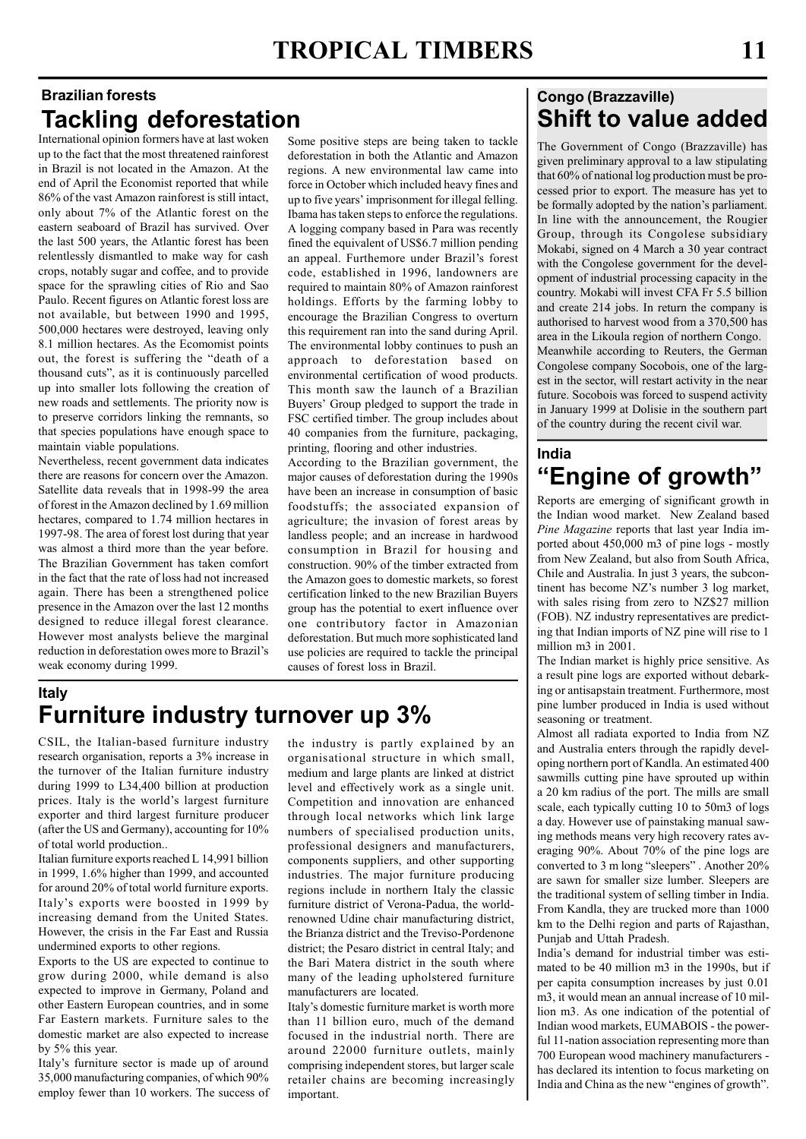# Brazilian forests Tackling deforestation

International opinion formers have at last woken up to the fact that the most threatened rainforest in Brazil is not located in the Amazon. At the end of April the Economist reported that while 86% of the vast Amazon rainforest is still intact, only about 7% of the Atlantic forest on the eastern seaboard of Brazil has survived. Over the last 500 years, the Atlantic forest has been relentlessly dismantled to make way for cash crops, notably sugar and coffee, and to provide space for the sprawling cities of Rio and Sao Paulo. Recent figures on Atlantic forest loss are not available, but between 1990 and 1995, 500,000 hectares were destroyed, leaving only 8.1 million hectares. As the Ecomomist points out, the forest is suffering the "death of a thousand cuts", as it is continuously parcelled up into smaller lots following the creation of new roads and settlements. The priority now is to preserve corridors linking the remnants, so that species populations have enough space to maintain viable populations.

Nevertheless, recent government data indicates there are reasons for concern over the Amazon. Satellite data reveals that in 1998-99 the area of forest in the Amazon declined by 1.69 million hectares, compared to 1.74 million hectares in 1997-98. The area of forest lost during that year was almost a third more than the year before. The Brazilian Government has taken comfort in the fact that the rate of loss had not increased again. There has been a strengthened police presence in the Amazon over the last 12 months designed to reduce illegal forest clearance. However most analysts believe the marginal reduction in deforestation owes more to Brazil's weak economy during 1999.

Some positive steps are being taken to tackle deforestation in both the Atlantic and Amazon regions. A new environmental law came into force in October which included heavy fines and up to five years' imprisonment for illegal felling. Ibama has taken steps to enforce the regulations. A logging company based in Para was recently fined the equivalent of US\$6.7 million pending an appeal. Furthemore under Brazil's forest code, established in 1996, landowners are required to maintain 80% of Amazon rainforest holdings. Efforts by the farming lobby to encourage the Brazilian Congress to overturn this requirement ran into the sand during April. The environmental lobby continues to push an approach to deforestation based on environmental certification of wood products. This month saw the launch of a Brazilian Buyers' Group pledged to support the trade in FSC certified timber. The group includes about 40 companies from the furniture, packaging, printing, flooring and other industries.

According to the Brazilian government, the major causes of deforestation during the 1990s have been an increase in consumption of basic foodstuffs; the associated expansion of agriculture; the invasion of forest areas by landless people; and an increase in hardwood consumption in Brazil for housing and construction. 90% of the timber extracted from the Amazon goes to domestic markets, so forest certification linked to the new Brazilian Buyers group has the potential to exert influence over one contributory factor in Amazonian deforestation. But much more sophisticated land use policies are required to tackle the principal causes of forest loss in Brazil.

# Italy Furniture industry turnover up 3%

CSIL, the Italian-based furniture industry research organisation, reports a 3% increase in the turnover of the Italian furniture industry during 1999 to L34,400 billion at production prices. Italy is the world's largest furniture exporter and third largest furniture producer (after the US and Germany), accounting for 10% of total world production..

Italian furniture exports reached L 14,991 billion in 1999, 1.6% higher than 1999, and accounted for around 20% of total world furniture exports. Italy's exports were boosted in 1999 by increasing demand from the United States. However, the crisis in the Far East and Russia undermined exports to other regions.

Exports to the US are expected to continue to grow during 2000, while demand is also expected to improve in Germany, Poland and other Eastern European countries, and in some Far Eastern markets. Furniture sales to the domestic market are also expected to increase by 5% this year.

Italy's furniture sector is made up of around 35,000 manufacturing companies, of which 90% employ fewer than 10 workers. The success of the industry is partly explained by an organisational structure in which small, medium and large plants are linked at district level and effectively work as a single unit. Competition and innovation are enhanced through local networks which link large numbers of specialised production units, professional designers and manufacturers, components suppliers, and other supporting industries. The major furniture producing regions include in northern Italy the classic furniture district of Verona-Padua, the worldrenowned Udine chair manufacturing district, the Brianza district and the Treviso-Pordenone district; the Pesaro district in central Italy; and the Bari Matera district in the south where many of the leading upholstered furniture manufacturers are located.

Italy's domestic furniture market is worth more than 11 billion euro, much of the demand focused in the industrial north. There are around 22000 furniture outlets, mainly comprising independent stores, but larger scale retailer chains are becoming increasingly important.

# Congo (Brazzaville) Shift to value added

The Government of Congo (Brazzaville) has given preliminary approval to a law stipulating that 60% of national log production must be processed prior to export. The measure has yet to be formally adopted by the nation's parliament. In line with the announcement, the Rougier Group, through its Congolese subsidiary Mokabi, signed on 4 March a 30 year contract with the Congolese government for the development of industrial processing capacity in the country. Mokabi will invest CFA Fr 5.5 billion and create 214 jobs. In return the company is authorised to harvest wood from a 370,500 has area in the Likoula region of northern Congo. Meanwhile according to Reuters, the German Congolese company Socobois, one of the largest in the sector, will restart activity in the near future. Socobois was forced to suspend activity in January 1999 at Dolisie in the southern part of the country during the recent civil war.

## India "Engine of growth"

Reports are emerging of significant growth in the Indian wood market. New Zealand based Pine Magazine reports that last year India imported about 450,000 m3 of pine logs - mostly from New Zealand, but also from South Africa, Chile and Australia. In just 3 years, the subcontinent has become NZ's number 3 log market, with sales rising from zero to NZ\$27 million (FOB). NZ industry representatives are predicting that Indian imports of NZ pine will rise to 1 million m3 in 2001.

The Indian market is highly price sensitive. As a result pine logs are exported without debarking or antisapstain treatment. Furthermore, most pine lumber produced in India is used without seasoning or treatment.

Almost all radiata exported to India from NZ and Australia enters through the rapidly developing northern port of Kandla. An estimated 400 sawmills cutting pine have sprouted up within a 20 km radius of the port. The mills are small scale, each typically cutting 10 to 50m3 of logs a day. However use of painstaking manual sawing methods means very high recovery rates averaging 90%. About 70% of the pine logs are converted to 3 m long "sleepers" . Another 20% are sawn for smaller size lumber. Sleepers are the traditional system of selling timber in India. From Kandla, they are trucked more than 1000 km to the Delhi region and parts of Rajasthan, Punjab and Uttah Pradesh.

India's demand for industrial timber was estimated to be 40 million m3 in the 1990s, but if per capita consumption increases by just 0.01 m3, it would mean an annual increase of 10 million m3. As one indication of the potential of Indian wood markets, EUMABOIS - the powerful 11-nation association representing more than 700 European wood machinery manufacturers has declared its intention to focus marketing on India and China as the new "engines of growth".